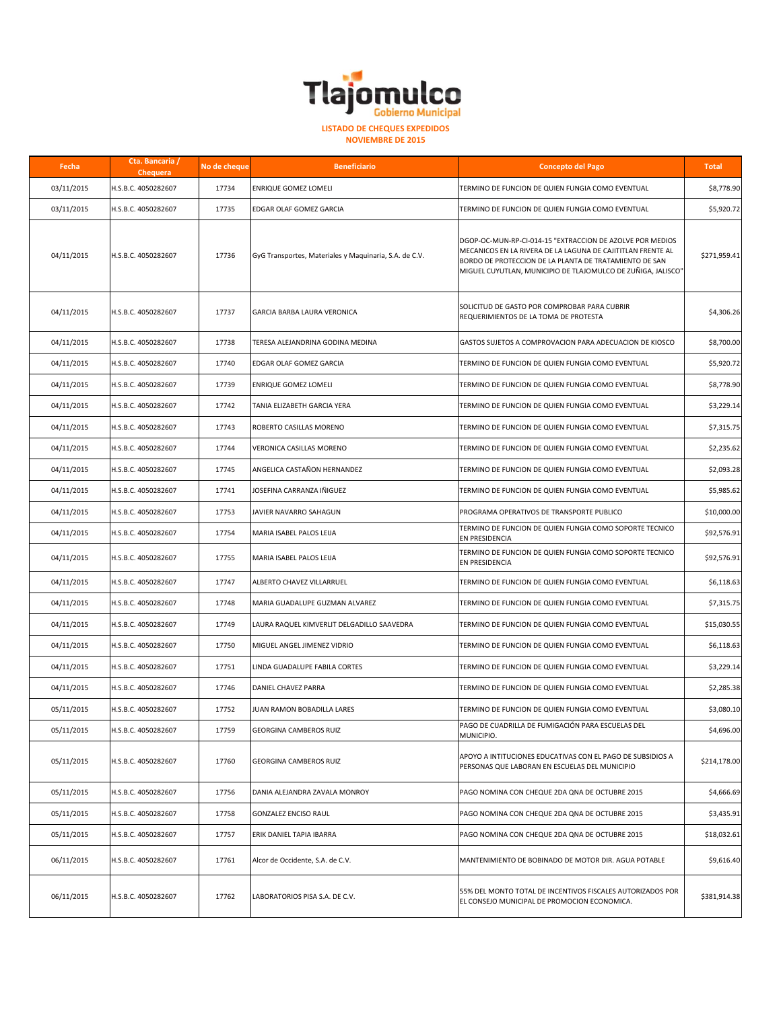

**NOVIEMBRE DE 2015**

| Fecha      | Cta. Bancaria /<br>Chequera | No de cheque | <b>Beneficiario</b>                                    | <b>Concepto del Pago</b>                                                                                                                                                                                                                           | <b>Total</b> |
|------------|-----------------------------|--------------|--------------------------------------------------------|----------------------------------------------------------------------------------------------------------------------------------------------------------------------------------------------------------------------------------------------------|--------------|
| 03/11/2015 | H.S.B.C. 4050282607         | 17734        | <b>ENRIQUE GOMEZ LOMELI</b>                            | TERMINO DE FUNCION DE QUIEN FUNGIA COMO EVENTUAL                                                                                                                                                                                                   | \$8,778.90   |
| 03/11/2015 | H.S.B.C. 4050282607         | 17735        | EDGAR OLAF GOMEZ GARCIA                                | TERMINO DE FUNCION DE QUIEN FUNGIA COMO EVENTUAL                                                                                                                                                                                                   | \$5,920.72   |
| 04/11/2015 | H.S.B.C. 4050282607         | 17736        | GyG Transportes, Materiales y Maquinaria, S.A. de C.V. | DGOP-OC-MUN-RP-CI-014-15 "EXTRACCION DE AZOLVE POR MEDIOS<br>MECANICOS EN LA RIVERA DE LA LAGUNA DE CAJITITLAN FRENTE AL<br>BORDO DE PROTECCION DE LA PLANTA DE TRATAMIENTO DE SAN<br>MIGUEL CUYUTLAN, MUNICIPIO DE TLAJOMULCO DE ZUÑIGA, JALISCO" | \$271,959.41 |
| 04/11/2015 | H.S.B.C. 4050282607         | 17737        | GARCIA BARBA LAURA VERONICA                            | SOLICITUD DE GASTO POR COMPROBAR PARA CUBRIR<br>REQUERIMIENTOS DE LA TOMA DE PROTESTA                                                                                                                                                              | \$4,306.26   |
| 04/11/2015 | H.S.B.C. 4050282607         | 17738        | TERESA ALEJANDRINA GODINA MEDINA                       | GASTOS SUJETOS A COMPROVACION PARA ADECUACION DE KIOSCO                                                                                                                                                                                            | \$8,700.00   |
| 04/11/2015 | H.S.B.C. 4050282607         | 17740        | EDGAR OLAF GOMEZ GARCIA                                | TERMINO DE FUNCION DE QUIEN FUNGIA COMO EVENTUAL                                                                                                                                                                                                   | \$5,920.72   |
| 04/11/2015 | H.S.B.C. 4050282607         | 17739        | ENRIQUE GOMEZ LOMELI                                   | TERMINO DE FUNCION DE QUIEN FUNGIA COMO EVENTUAL                                                                                                                                                                                                   | \$8,778.90   |
| 04/11/2015 | H.S.B.C. 4050282607         | 17742        | TANIA ELIZABETH GARCIA YERA                            | TERMINO DE FUNCION DE QUIEN FUNGIA COMO EVENTUAL                                                                                                                                                                                                   | \$3,229.14   |
| 04/11/2015 | H.S.B.C. 4050282607         | 17743        | ROBERTO CASILLAS MORENO                                | TERMINO DE FUNCION DE QUIEN FUNGIA COMO EVENTUAL                                                                                                                                                                                                   | \$7,315.75   |
| 04/11/2015 | H.S.B.C. 4050282607         | 17744        | VERONICA CASILLAS MORENO                               | TERMINO DE FUNCION DE QUIEN FUNGIA COMO EVENTUAL                                                                                                                                                                                                   | \$2,235.62   |
| 04/11/2015 | H.S.B.C. 4050282607         | 17745        | ANGELICA CASTAÑON HERNANDEZ                            | TERMINO DE FUNCION DE QUIEN FUNGIA COMO EVENTUAL                                                                                                                                                                                                   | \$2,093.28   |
| 04/11/2015 | H.S.B.C. 4050282607         | 17741        | JOSEFINA CARRANZA IÑIGUEZ                              | TERMINO DE FUNCION DE QUIEN FUNGIA COMO EVENTUAL                                                                                                                                                                                                   | \$5,985.62   |
| 04/11/2015 | H.S.B.C. 4050282607         | 17753        | JAVIER NAVARRO SAHAGUN                                 | PROGRAMA OPERATIVOS DE TRANSPORTE PUBLICO                                                                                                                                                                                                          | \$10,000.00  |
| 04/11/2015 | H.S.B.C. 4050282607         | 17754        | MARIA ISABEL PALOS LEIJA                               | TERMINO DE FUNCION DE QUIEN FUNGIA COMO SOPORTE TECNICO<br>EN PRESIDENCIA                                                                                                                                                                          | \$92,576.91  |
| 04/11/2015 | H.S.B.C. 4050282607         | 17755        | MARIA ISABEL PALOS LEIJA                               | TERMINO DE FUNCION DE QUIEN FUNGIA COMO SOPORTE TECNICO<br>EN PRESIDENCIA                                                                                                                                                                          | \$92,576.91  |
| 04/11/2015 | H.S.B.C. 4050282607         | 17747        | ALBERTO CHAVEZ VILLARRUEL                              | TERMINO DE FUNCION DE QUIEN FUNGIA COMO EVENTUAL                                                                                                                                                                                                   | \$6,118.63   |
| 04/11/2015 | H.S.B.C. 4050282607         | 17748        | MARIA GUADALUPE GUZMAN ALVAREZ                         | TERMINO DE FUNCION DE QUIEN FUNGIA COMO EVENTUAL                                                                                                                                                                                                   | \$7,315.75   |
| 04/11/2015 | H.S.B.C. 4050282607         | 17749        | LAURA RAQUEL KIMVERLIT DELGADILLO SAAVEDRA             | TERMINO DE FUNCION DE QUIEN FUNGIA COMO EVENTUAL                                                                                                                                                                                                   | \$15,030.55  |
| 04/11/2015 | H.S.B.C. 4050282607         | 17750        | MIGUEL ANGEL JIMENEZ VIDRIO                            | TERMINO DE FUNCION DE QUIEN FUNGIA COMO EVENTUAL                                                                                                                                                                                                   | \$6,118.63   |
| 04/11/2015 | H.S.B.C. 4050282607         | 17751        | LINDA GUADALUPE FABILA CORTES                          | TERMINO DE FUNCION DE QUIEN FUNGIA COMO EVENTUAL                                                                                                                                                                                                   | \$3,229.14   |
| 04/11/2015 | H.S.B.C. 4050282607         | 17746        | DANIEL CHAVEZ PARRA                                    | TERMINO DE FUNCION DE QUIEN FUNGIA COMO EVENTUAL                                                                                                                                                                                                   | \$2,285.38   |
| 05/11/2015 | H.S.B.C. 4050282607         | 17752        | JUAN RAMON BOBADILLA LARES                             | TERMINO DE FUNCION DE QUIEN FUNGIA COMO EVENTUAL                                                                                                                                                                                                   | \$3,080.10   |
| 05/11/2015 | I.S.B.C. 4050282607         | 17759        | GEORGINA CAMBEROS RUIZ                                 | PAGO DE CUADRILLA DE FUMIGACIÓN PARA ESCUELAS DEL<br>MUNICIPIO.                                                                                                                                                                                    | \$4,696.00   |
| 05/11/2015 | H.S.B.C. 4050282607         | 17760        | <b>GEORGINA CAMBEROS RUIZ</b>                          | APOYO A INTITUCIONES EDUCATIVAS CON EL PAGO DE SUBSIDIOS A<br>PERSONAS QUE LABORAN EN ESCUELAS DEL MUNICIPIO                                                                                                                                       | \$214,178.00 |
| 05/11/2015 | H.S.B.C. 4050282607         | 17756        | DANIA ALEJANDRA ZAVALA MONROY                          | PAGO NOMINA CON CHEQUE 2DA QNA DE OCTUBRE 2015                                                                                                                                                                                                     | \$4,666.69   |
| 05/11/2015 | H.S.B.C. 4050282607         | 17758        | <b>GONZALEZ ENCISO RAUL</b>                            | PAGO NOMINA CON CHEQUE 2DA QNA DE OCTUBRE 2015                                                                                                                                                                                                     | \$3,435.91   |
| 05/11/2015 | H.S.B.C. 4050282607         | 17757        | ERIK DANIEL TAPIA IBARRA                               | PAGO NOMINA CON CHEQUE 2DA QNA DE OCTUBRE 2015                                                                                                                                                                                                     | \$18,032.61  |
| 06/11/2015 | H.S.B.C. 4050282607         | 17761        | Alcor de Occidente, S.A. de C.V.                       | MANTENIMIENTO DE BOBINADO DE MOTOR DIR. AGUA POTABLE                                                                                                                                                                                               | \$9,616.40   |
| 06/11/2015 | H.S.B.C. 4050282607         | 17762        | LABORATORIOS PISA S.A. DE C.V.                         | 55% DEL MONTO TOTAL DE INCENTIVOS FISCALES AUTORIZADOS POR<br>EL CONSEJO MUNICIPAL DE PROMOCION ECONOMICA.                                                                                                                                         | \$381,914.38 |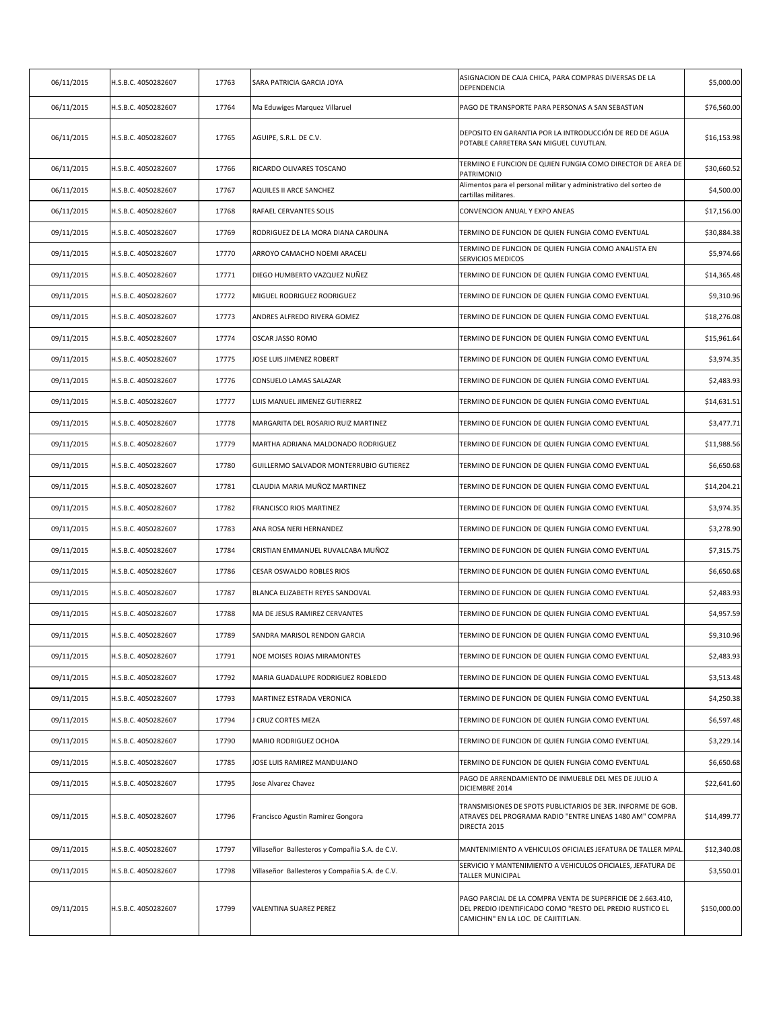| 06/11/2015 | H.S.B.C. 4050282607 | 17763 | SARA PATRICIA GARCIA JOYA                      | ASIGNACION DE CAJA CHICA, PARA COMPRAS DIVERSAS DE LA<br>DEPENDENCIA                                                                                            | \$5,000.00   |
|------------|---------------------|-------|------------------------------------------------|-----------------------------------------------------------------------------------------------------------------------------------------------------------------|--------------|
| 06/11/2015 | H.S.B.C. 4050282607 | 17764 | Ma Eduwiges Marquez Villaruel                  | PAGO DE TRANSPORTE PARA PERSONAS A SAN SEBASTIAN                                                                                                                | \$76,560.00  |
| 06/11/2015 | H.S.B.C. 4050282607 | 17765 | AGUIPE, S.R.L. DE C.V.                         | DEPOSITO EN GARANTIA POR LA INTRODUCCIÓN DE RED DE AGUA<br>POTABLE CARRETERA SAN MIGUEL CUYUTLAN.                                                               | \$16,153.98  |
| 06/11/2015 | H.S.B.C. 4050282607 | 17766 | RICARDO OLIVARES TOSCANO                       | TERMINO E FUNCION DE QUIEN FUNGIA COMO DIRECTOR DE AREA DE<br>PATRIMONIO                                                                                        | \$30,660.52  |
| 06/11/2015 | H.S.B.C. 4050282607 | 17767 | AQUILES II ARCE SANCHEZ                        | Alimentos para el personal militar y administrativo del sorteo de<br>cartillas militares.                                                                       | \$4,500.00   |
| 06/11/2015 | H.S.B.C. 4050282607 | 17768 | RAFAEL CERVANTES SOLIS                         | CONVENCION ANUAL Y EXPO ANEAS                                                                                                                                   | \$17,156.00  |
| 09/11/2015 | H.S.B.C. 4050282607 | 17769 | RODRIGUEZ DE LA MORA DIANA CAROLINA            | TERMINO DE FUNCION DE QUIEN FUNGIA COMO EVENTUAL                                                                                                                | \$30,884.38  |
| 09/11/2015 | H.S.B.C. 4050282607 | 17770 | ARROYO CAMACHO NOEMI ARACELI                   | TERMINO DE FUNCION DE QUIEN FUNGIA COMO ANALISTA EN<br>SERVICIOS MEDICOS                                                                                        | \$5,974.66   |
| 09/11/2015 | H.S.B.C. 4050282607 | 17771 | DIEGO HUMBERTO VAZQUEZ NUÑEZ                   | TERMINO DE FUNCION DE QUIEN FUNGIA COMO EVENTUAL                                                                                                                | \$14,365.48  |
| 09/11/2015 | H.S.B.C. 4050282607 | 17772 | MIGUEL RODRIGUEZ RODRIGUEZ                     | TERMINO DE FUNCION DE QUIEN FUNGIA COMO EVENTUAL                                                                                                                | \$9,310.96   |
| 09/11/2015 | H.S.B.C. 4050282607 | 17773 | ANDRES ALFREDO RIVERA GOMEZ                    | TERMINO DE FUNCION DE QUIEN FUNGIA COMO EVENTUAL                                                                                                                | \$18,276.08  |
| 09/11/2015 | H.S.B.C. 4050282607 | 17774 | OSCAR JASSO ROMO                               | TERMINO DE FUNCION DE QUIEN FUNGIA COMO EVENTUAL                                                                                                                | \$15,961.64  |
| 09/11/2015 | H.S.B.C. 4050282607 | 17775 | JOSE LUIS JIMENEZ ROBERT                       | TERMINO DE FUNCION DE QUIEN FUNGIA COMO EVENTUAL                                                                                                                | \$3,974.35   |
| 09/11/2015 | H.S.B.C. 4050282607 | 17776 | CONSUELO LAMAS SALAZAR                         | TERMINO DE FUNCION DE QUIEN FUNGIA COMO EVENTUAL                                                                                                                | \$2,483.93   |
| 09/11/2015 | H.S.B.C. 4050282607 | 17777 | LUIS MANUEL JIMENEZ GUTIERREZ                  | TERMINO DE FUNCION DE QUIEN FUNGIA COMO EVENTUAL                                                                                                                | \$14,631.51  |
| 09/11/2015 | H.S.B.C. 4050282607 | 17778 | MARGARITA DEL ROSARIO RUIZ MARTINEZ            | TERMINO DE FUNCION DE QUIEN FUNGIA COMO EVENTUAL                                                                                                                | \$3,477.71   |
| 09/11/2015 | H.S.B.C. 4050282607 | 17779 | MARTHA ADRIANA MALDONADO RODRIGUEZ             | TERMINO DE FUNCION DE QUIEN FUNGIA COMO EVENTUAL                                                                                                                | \$11,988.56  |
| 09/11/2015 | H.S.B.C. 4050282607 | 17780 | GUILLERMO SALVADOR MONTERRUBIO GUTIEREZ        | TERMINO DE FUNCION DE QUIEN FUNGIA COMO EVENTUAL                                                                                                                | \$6,650.68   |
| 09/11/2015 | H.S.B.C. 4050282607 | 17781 | CLAUDIA MARIA MUÑOZ MARTINEZ                   | TERMINO DE FUNCION DE QUIEN FUNGIA COMO EVENTUAL                                                                                                                | \$14,204.21  |
| 09/11/2015 | H.S.B.C. 4050282607 | 17782 | FRANCISCO RIOS MARTINEZ                        | TERMINO DE FUNCION DE QUIEN FUNGIA COMO EVENTUAL                                                                                                                | \$3,974.35   |
| 09/11/2015 | H.S.B.C. 4050282607 | 17783 | ANA ROSA NERI HERNANDEZ                        | TERMINO DE FUNCION DE QUIEN FUNGIA COMO EVENTUAL                                                                                                                | \$3,278.90   |
| 09/11/2015 | H.S.B.C. 4050282607 | 17784 | CRISTIAN EMMANUEL RUVALCABA MUÑOZ              | TERMINO DE FUNCION DE QUIEN FUNGIA COMO EVENTUAL                                                                                                                | \$7,315.75   |
| 09/11/2015 | H.S.B.C. 4050282607 | 17786 | CESAR OSWALDO ROBLES RIOS                      | TERMINO DE FUNCION DE QUIEN FUNGIA COMO EVENTUAL                                                                                                                | \$6,650.68   |
| 09/11/2015 | H.S.B.C. 4050282607 | 17787 | BLANCA ELIZABETH REYES SANDOVAL                | TERMINO DE FUNCION DE QUIEN FUNGIA COMO EVENTUAL                                                                                                                | \$2,483.93   |
| 09/11/2015 | H.S.B.C. 4050282607 | 17788 | MA DE JESUS RAMIREZ CERVANTES                  | TERMINO DE FUNCION DE QUIEN FUNGIA COMO EVENTUAL                                                                                                                | \$4,957.59   |
| 09/11/2015 | H.S.B.C. 4050282607 | 17789 | SANDRA MARISOL RENDON GARCIA                   | TERMINO DE FUNCION DE QUIEN FUNGIA COMO EVENTUAL                                                                                                                | \$9,310.96   |
| 09/11/2015 | H.S.B.C. 4050282607 | 17791 | NOE MOISES ROJAS MIRAMONTES                    | TERMINO DE FUNCION DE QUIEN FUNGIA COMO EVENTUAL                                                                                                                | \$2,483.93   |
| 09/11/2015 | H.S.B.C. 4050282607 | 17792 | MARIA GUADALUPE RODRIGUEZ ROBLEDO              | TERMINO DE FUNCION DE QUIEN FUNGIA COMO EVENTUAL                                                                                                                | \$3,513.48   |
| 09/11/2015 | H.S.B.C. 4050282607 | 17793 | MARTINEZ ESTRADA VERONICA                      | TERMINO DE FUNCION DE QUIEN FUNGIA COMO EVENTUAL                                                                                                                | \$4,250.38   |
| 09/11/2015 | H.S.B.C. 4050282607 | 17794 | <b>CRUZ CORTES MEZA</b>                        | TERMINO DE FUNCION DE QUIEN FUNGIA COMO EVENTUAL                                                                                                                | \$6,597.48   |
| 09/11/2015 | H.S.B.C. 4050282607 | 17790 | MARIO RODRIGUEZ OCHOA                          | TERMINO DE FUNCION DE QUIEN FUNGIA COMO EVENTUAL                                                                                                                | \$3,229.14   |
| 09/11/2015 | H.S.B.C. 4050282607 | 17785 | JOSE LUIS RAMIREZ MANDUJANO                    | TERMINO DE FUNCION DE QUIEN FUNGIA COMO EVENTUAL                                                                                                                | \$6,650.68   |
| 09/11/2015 | H.S.B.C. 4050282607 | 17795 | Jose Alvarez Chavez                            | PAGO DE ARRENDAMIENTO DE INMUEBLE DEL MES DE JULIO A<br>DICIEMBRE 2014                                                                                          | \$22,641.60  |
| 09/11/2015 | H.S.B.C. 4050282607 | 17796 | Francisco Agustin Ramirez Gongora              | TRANSMISIONES DE SPOTS PUBLICTARIOS DE 3ER. INFORME DE GOB.<br>ATRAVES DEL PROGRAMA RADIO "ENTRE LINEAS 1480 AM" COMPRA<br>DIRECTA 2015                         | \$14,499.77  |
| 09/11/2015 | H.S.B.C. 4050282607 | 17797 | Villaseñor Ballesteros y Compañia S.A. de C.V. | MANTENIMIENTO A VEHICULOS OFICIALES JEFATURA DE TALLER MPAL                                                                                                     | \$12,340.08  |
| 09/11/2015 | H.S.B.C. 4050282607 | 17798 | Villaseñor Ballesteros y Compañia S.A. de C.V. | SERVICIO Y MANTENIMIENTO A VEHICULOS OFICIALES, JEFATURA DE<br>TALLER MUNICIPAL                                                                                 | \$3,550.01   |
| 09/11/2015 | H.S.B.C. 4050282607 | 17799 | VALENTINA SUAREZ PEREZ                         | PAGO PARCIAL DE LA COMPRA VENTA DE SUPERFICIE DE 2.663.410,<br>DEL PREDIO IDENTIFICADO COMO "RESTO DEL PREDIO RUSTICO EL<br>CAMICHIN" EN LA LOC. DE CAJITITLAN. | \$150,000.00 |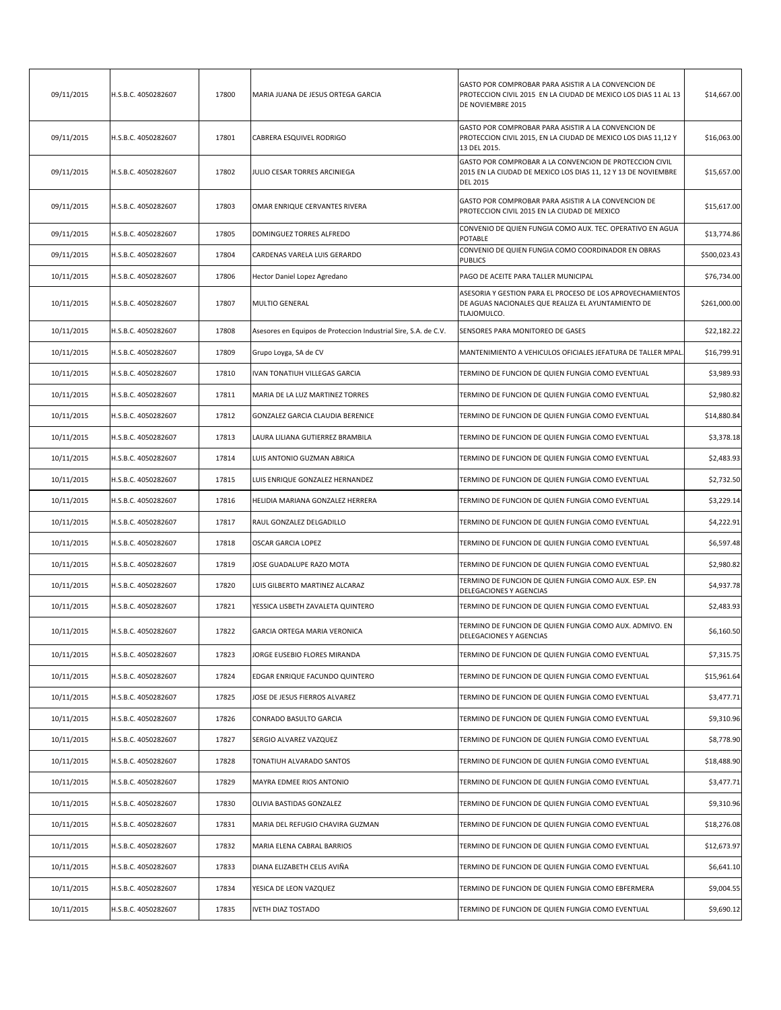| 09/11/2015 | H.S.B.C. 4050282607 | 17800 | MARIA JUANA DE JESUS ORTEGA GARCIA                              | GASTO POR COMPROBAR PARA ASISTIR A LA CONVENCION DE<br>PROTECCION CIVIL 2015 EN LA CIUDAD DE MEXICO LOS DIAS 11 AL 13<br>DE NOVIEMBRE 2015  | \$14,667.00  |
|------------|---------------------|-------|-----------------------------------------------------------------|---------------------------------------------------------------------------------------------------------------------------------------------|--------------|
| 09/11/2015 | H.S.B.C. 4050282607 | 17801 | CABRERA ESQUIVEL RODRIGO                                        | GASTO POR COMPROBAR PARA ASISTIR A LA CONVENCION DE<br>PROTECCION CIVIL 2015, EN LA CIUDAD DE MEXICO LOS DIAS 11,12 Y<br>13 DEL 2015.       | \$16,063.00  |
| 09/11/2015 | H.S.B.C. 4050282607 | 17802 | JULIO CESAR TORRES ARCINIEGA                                    | GASTO POR COMPROBAR A LA CONVENCION DE PROTECCION CIVIL<br>2015 EN LA CIUDAD DE MEXICO LOS DIAS 11, 12 Y 13 DE NOVIEMBRE<br><b>DEL 2015</b> | \$15,657.00  |
| 09/11/2015 | H.S.B.C. 4050282607 | 17803 | OMAR ENRIQUE CERVANTES RIVERA                                   | GASTO POR COMPROBAR PARA ASISTIR A LA CONVENCION DE<br>PROTECCION CIVIL 2015 EN LA CIUDAD DE MEXICO                                         | \$15,617.00  |
| 09/11/2015 | H.S.B.C. 4050282607 | 17805 | DOMINGUEZ TORRES ALFREDO                                        | CONVENIO DE QUIEN FUNGIA COMO AUX. TEC. OPERATIVO EN AGUA<br>POTABLE                                                                        | \$13,774.86  |
| 09/11/2015 | H.S.B.C. 4050282607 | 17804 | CARDENAS VARELA LUIS GERARDO                                    | CONVENIO DE QUIEN FUNGIA COMO COORDINADOR EN OBRAS<br>PUBLICS                                                                               | \$500,023.43 |
| 10/11/2015 | H.S.B.C. 4050282607 | 17806 | Hector Daniel Lopez Agredano                                    | PAGO DE ACEITE PARA TALLER MUNICIPAL                                                                                                        | \$76,734.00  |
| 10/11/2015 | H.S.B.C. 4050282607 | 17807 | MULTIO GENERAL                                                  | ASESORIA Y GESTION PARA EL PROCESO DE LOS APROVECHAMIENTOS<br>DE AGUAS NACIONALES QUE REALIZA EL AYUNTAMIENTO DE<br>TLAJOMULCO.             | \$261,000.00 |
| 10/11/2015 | H.S.B.C. 4050282607 | 17808 | Asesores en Equipos de Proteccion Industrial Sire, S.A. de C.V. | SENSORES PARA MONITOREO DE GASES                                                                                                            | \$22,182.22  |
| 10/11/2015 | H.S.B.C. 4050282607 | 17809 | Grupo Loyga, SA de CV                                           | MANTENIMIENTO A VEHICULOS OFICIALES JEFATURA DE TALLER MPAL                                                                                 | \$16,799.91  |
| 10/11/2015 | H.S.B.C. 4050282607 | 17810 | IVAN TONATIUH VILLEGAS GARCIA                                   | TERMINO DE FUNCION DE QUIEN FUNGIA COMO EVENTUAL                                                                                            | \$3,989.93   |
| 10/11/2015 | H.S.B.C. 4050282607 | 17811 | MARIA DE LA LUZ MARTINEZ TORRES                                 | TERMINO DE FUNCION DE QUIEN FUNGIA COMO EVENTUAL                                                                                            | \$2,980.82   |
| 10/11/2015 | H.S.B.C. 4050282607 | 17812 | GONZALEZ GARCIA CLAUDIA BERENICE                                | TERMINO DE FUNCION DE QUIEN FUNGIA COMO EVENTUAL                                                                                            | \$14,880.84  |
| 10/11/2015 | H.S.B.C. 4050282607 | 17813 | LAURA LILIANA GUTIERREZ BRAMBILA                                | TERMINO DE FUNCION DE QUIEN FUNGIA COMO EVENTUAL                                                                                            | \$3,378.18   |
| 10/11/2015 | H.S.B.C. 4050282607 | 17814 | LUIS ANTONIO GUZMAN ABRICA                                      | TERMINO DE FUNCION DE QUIEN FUNGIA COMO EVENTUAL                                                                                            | \$2,483.93   |
| 10/11/2015 | H.S.B.C. 4050282607 | 17815 | LUIS ENRIQUE GONZALEZ HERNANDEZ                                 | TERMINO DE FUNCION DE QUIEN FUNGIA COMO EVENTUAL                                                                                            | \$2,732.50   |
| 10/11/2015 | H.S.B.C. 4050282607 | 17816 | HELIDIA MARIANA GONZALEZ HERRERA                                | TERMINO DE FUNCION DE QUIEN FUNGIA COMO EVENTUAL                                                                                            | \$3,229.14   |
| 10/11/2015 | H.S.B.C. 4050282607 | 17817 | RAUL GONZALEZ DELGADILLO                                        | TERMINO DE FUNCION DE QUIEN FUNGIA COMO EVENTUAL                                                                                            | \$4,222.91   |
| 10/11/2015 | H.S.B.C. 4050282607 | 17818 | OSCAR GARCIA LOPEZ                                              | TERMINO DE FUNCION DE QUIEN FUNGIA COMO EVENTUAL                                                                                            | \$6,597.48   |
| 10/11/2015 | H.S.B.C. 4050282607 | 17819 | JOSE GUADALUPE RAZO MOTA                                        | TERMINO DE FUNCION DE QUIEN FUNGIA COMO EVENTUAL                                                                                            | \$2,980.82   |
| 10/11/2015 | H.S.B.C. 4050282607 | 17820 | LUIS GILBERTO MARTINEZ ALCARAZ                                  | TERMINO DE FUNCION DE QUIEN FUNGIA COMO AUX. ESP. EN<br>DELEGACIONES Y AGENCIAS                                                             | \$4,937.78   |
| 10/11/2015 | H.S.B.C. 4050282607 | 17821 | YESSICA LISBETH ZAVALETA QUINTERO                               | TERMINO DE FUNCION DE QUIEN FUNGIA COMO EVENTUAL                                                                                            | \$2,483.93   |
| 10/11/2015 | H.S.B.C. 4050282607 | 17822 | GARCIA ORTEGA MARIA VERONICA                                    | TERMINO DE FUNCION DE QUIEN FUNGIA COMO AUX. ADMIVO. EN<br>DELEGACIONES Y AGENCIAS                                                          | \$6,160.50   |
| 10/11/2015 | H.S.B.C. 4050282607 | 17823 | JORGE EUSEBIO FLORES MIRANDA                                    | TERMINO DE FUNCION DE QUIEN FUNGIA COMO EVENTUAL                                                                                            | \$7,315.75   |
| 10/11/2015 | H.S.B.C. 4050282607 | 17824 | EDGAR ENRIQUE FACUNDO QUINTERO                                  | TERMINO DE FUNCION DE QUIEN FUNGIA COMO EVENTUAL                                                                                            | \$15,961.64  |
| 10/11/2015 | H.S.B.C. 4050282607 | 17825 | JOSE DE JESUS FIERROS ALVAREZ                                   | TERMINO DE FUNCION DE QUIEN FUNGIA COMO EVENTUAL                                                                                            | \$3,477.71   |
| 10/11/2015 | H.S.B.C. 4050282607 | 17826 | CONRADO BASULTO GARCIA                                          | TERMINO DE FUNCION DE QUIEN FUNGIA COMO EVENTUAL                                                                                            | \$9,310.96   |
| 10/11/2015 | H.S.B.C. 4050282607 | 17827 | SERGIO ALVAREZ VAZQUEZ                                          | TERMINO DE FUNCION DE QUIEN FUNGIA COMO EVENTUAL                                                                                            | \$8,778.90   |
| 10/11/2015 | H.S.B.C. 4050282607 | 17828 | TONATIUH ALVARADO SANTOS                                        | TERMINO DE FUNCION DE QUIEN FUNGIA COMO EVENTUAL                                                                                            | \$18,488.90  |
| 10/11/2015 | H.S.B.C. 4050282607 | 17829 | MAYRA EDMEE RIOS ANTONIO                                        | TERMINO DE FUNCION DE QUIEN FUNGIA COMO EVENTUAL                                                                                            | \$3,477.71   |
| 10/11/2015 | H.S.B.C. 4050282607 | 17830 | OLIVIA BASTIDAS GONZALEZ                                        | TERMINO DE FUNCION DE QUIEN FUNGIA COMO EVENTUAL                                                                                            | \$9,310.96   |
| 10/11/2015 | H.S.B.C. 4050282607 | 17831 | MARIA DEL REFUGIO CHAVIRA GUZMAN                                | TERMINO DE FUNCION DE QUIEN FUNGIA COMO EVENTUAL                                                                                            | \$18,276.08  |
| 10/11/2015 | H.S.B.C. 4050282607 | 17832 | MARIA ELENA CABRAL BARRIOS                                      | TERMINO DE FUNCION DE QUIEN FUNGIA COMO EVENTUAL                                                                                            | \$12,673.97  |
| 10/11/2015 | H.S.B.C. 4050282607 | 17833 | DIANA ELIZABETH CELIS AVIÑA                                     | TERMINO DE FUNCION DE QUIEN FUNGIA COMO EVENTUAL                                                                                            | \$6,641.10   |
| 10/11/2015 | H.S.B.C. 4050282607 | 17834 | YESICA DE LEON VAZQUEZ                                          | TERMINO DE FUNCION DE QUIEN FUNGIA COMO EBFERMERA                                                                                           | \$9,004.55   |
| 10/11/2015 | H.S.B.C. 4050282607 | 17835 | VETH DIAZ TOSTADO                                               | TERMINO DE FUNCION DE QUIEN FUNGIA COMO EVENTUAL                                                                                            | \$9,690.12   |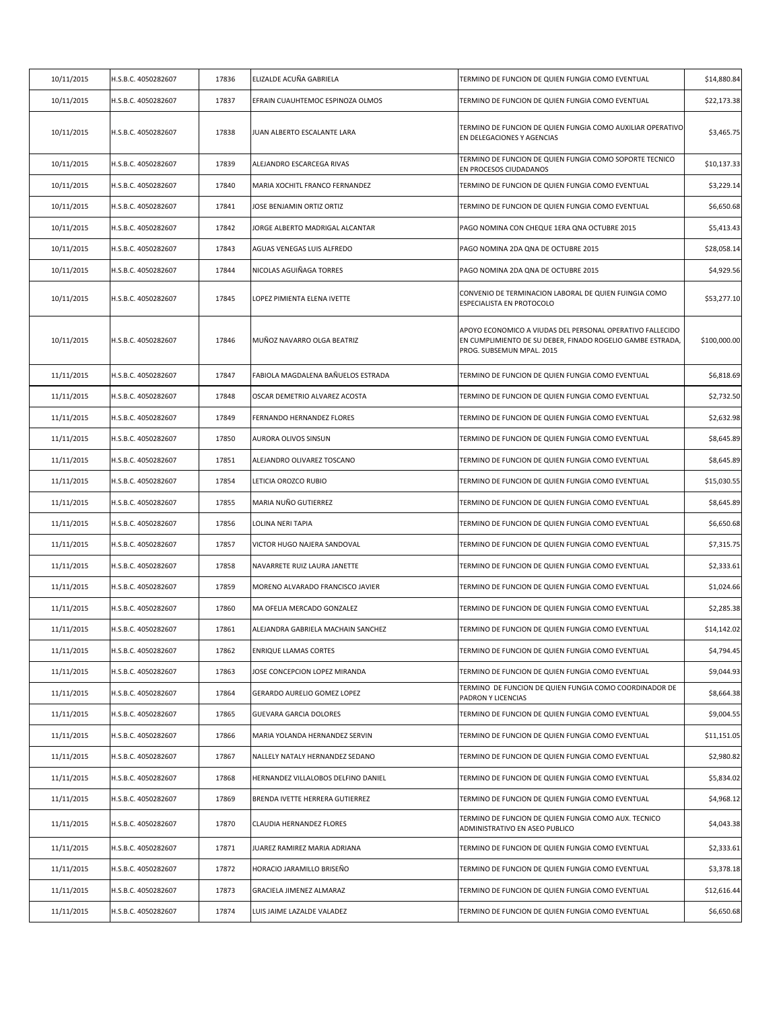| 10/11/2015 | H.S.B.C. 4050282607 | 17836 | ELIZALDE ACUÑA GABRIELA             | TERMINO DE FUNCION DE QUIEN FUNGIA COMO EVENTUAL                                                                                                     | \$14,880.84  |
|------------|---------------------|-------|-------------------------------------|------------------------------------------------------------------------------------------------------------------------------------------------------|--------------|
| 10/11/2015 | H.S.B.C. 4050282607 | 17837 | EFRAIN CUAUHTEMOC ESPINOZA OLMOS    | TERMINO DE FUNCION DE QUIEN FUNGIA COMO EVENTUAL                                                                                                     | \$22,173.38  |
| 10/11/2015 | H.S.B.C. 4050282607 | 17838 | JUAN ALBERTO ESCALANTE LARA         | TERMINO DE FUNCION DE QUIEN FUNGIA COMO AUXILIAR OPERATIVO<br>EN DELEGACIONES Y AGENCIAS                                                             | \$3,465.75   |
| 10/11/2015 | H.S.B.C. 4050282607 | 17839 | ALEJANDRO ESCARCEGA RIVAS           | TERMINO DE FUNCION DE QUIEN FUNGIA COMO SOPORTE TECNICO<br>EN PROCESOS CIUDADANOS                                                                    | \$10,137.33  |
| 10/11/2015 | H.S.B.C. 4050282607 | 17840 | MARIA XOCHITL FRANCO FERNANDEZ      | TERMINO DE FUNCION DE QUIEN FUNGIA COMO EVENTUAL                                                                                                     | \$3,229.14   |
| 10/11/2015 | H.S.B.C. 4050282607 | 17841 | JOSE BENJAMIN ORTIZ ORTIZ           | TERMINO DE FUNCION DE QUIEN FUNGIA COMO EVENTUAL                                                                                                     | \$6,650.68   |
| 10/11/2015 | H.S.B.C. 4050282607 | 17842 | JORGE ALBERTO MADRIGAL ALCANTAR     | PAGO NOMINA CON CHEQUE 1ERA QNA OCTUBRE 2015                                                                                                         | \$5,413.43   |
| 10/11/2015 | H.S.B.C. 4050282607 | 17843 | AGUAS VENEGAS LUIS ALFREDO          | PAGO NOMINA 2DA QNA DE OCTUBRE 2015                                                                                                                  | \$28,058.14  |
| 10/11/2015 | H.S.B.C. 4050282607 | 17844 | NICOLAS AGUIÑAGA TORRES             | PAGO NOMINA 2DA QNA DE OCTUBRE 2015                                                                                                                  | \$4,929.56   |
| 10/11/2015 | H.S.B.C. 4050282607 | 17845 | LOPEZ PIMIENTA ELENA IVETTE         | CONVENIO DE TERMINACION LABORAL DE QUIEN FUINGIA COMO<br>ESPECIALISTA EN PROTOCOLO                                                                   | \$53,277.10  |
| 10/11/2015 | H.S.B.C. 4050282607 | 17846 | MUÑOZ NAVARRO OLGA BEATRIZ          | APOYO ECONOMICO A VIUDAS DEL PERSONAL OPERATIVO FALLECIDO<br>EN CUMPLIMIENTO DE SU DEBER, FINADO ROGELIO GAMBE ESTRADA,<br>PROG. SUBSEMUN MPAL. 2015 | \$100,000.00 |
| 11/11/2015 | H.S.B.C. 4050282607 | 17847 | FABIOLA MAGDALENA BAÑUELOS ESTRADA  | TERMINO DE FUNCION DE QUIEN FUNGIA COMO EVENTUAL                                                                                                     | \$6,818.69   |
| 11/11/2015 | H.S.B.C. 4050282607 | 17848 | OSCAR DEMETRIO ALVAREZ ACOSTA       | TERMINO DE FUNCION DE QUIEN FUNGIA COMO EVENTUAL                                                                                                     | \$2,732.50   |
| 11/11/2015 | H.S.B.C. 4050282607 | 17849 | FERNANDO HERNANDEZ FLORES           | TERMINO DE FUNCION DE QUIEN FUNGIA COMO EVENTUAL                                                                                                     | \$2,632.98   |
| 11/11/2015 | H.S.B.C. 4050282607 | 17850 | AURORA OLIVOS SINSUN                | TERMINO DE FUNCION DE QUIEN FUNGIA COMO EVENTUAL                                                                                                     | \$8,645.89   |
| 11/11/2015 | H.S.B.C. 4050282607 | 17851 | ALEJANDRO OLIVAREZ TOSCANO          | TERMINO DE FUNCION DE QUIEN FUNGIA COMO EVENTUAL                                                                                                     | \$8,645.89   |
| 11/11/2015 | H.S.B.C. 4050282607 | 17854 | LETICIA OROZCO RUBIO                | TERMINO DE FUNCION DE QUIEN FUNGIA COMO EVENTUAL                                                                                                     | \$15,030.55  |
| 11/11/2015 | H.S.B.C. 4050282607 | 17855 | MARIA NUÑO GUTIERREZ                | TERMINO DE FUNCION DE QUIEN FUNGIA COMO EVENTUAL                                                                                                     | \$8,645.89   |
| 11/11/2015 | H.S.B.C. 4050282607 | 17856 | LOLINA NERI TAPIA                   | TERMINO DE FUNCION DE QUIEN FUNGIA COMO EVENTUAL                                                                                                     | \$6,650.68   |
| 11/11/2015 | H.S.B.C. 4050282607 | 17857 | VICTOR HUGO NAJERA SANDOVAL         | TERMINO DE FUNCION DE QUIEN FUNGIA COMO EVENTUAL                                                                                                     | \$7,315.75   |
| 11/11/2015 | H.S.B.C. 4050282607 | 17858 | NAVARRETE RUIZ LAURA JANETTE        | TERMINO DE FUNCION DE QUIEN FUNGIA COMO EVENTUAL                                                                                                     | \$2,333.61   |
| 11/11/2015 | H.S.B.C. 4050282607 | 17859 | MORENO ALVARADO FRANCISCO JAVIER    | TERMINO DE FUNCION DE QUIEN FUNGIA COMO EVENTUAL                                                                                                     | \$1,024.66   |
| 11/11/2015 | H.S.B.C. 4050282607 | 17860 | MA OFELIA MERCADO GONZALEZ          | TERMINO DE FUNCION DE QUIEN FUNGIA COMO EVENTUAL                                                                                                     | \$2,285.38   |
| 11/11/2015 | H.S.B.C. 4050282607 | 17861 | ALEJANDRA GABRIELA MACHAIN SANCHEZ  | TERMINO DE FUNCION DE QUIEN FUNGIA COMO EVENTUAL                                                                                                     | \$14,142.02  |
| 11/11/2015 | H.S.B.C. 4050282607 | 17862 | <b>ENRIQUE LLAMAS CORTES</b>        | TERMINO DE FUNCION DE QUIEN FUNGIA COMO EVENTUAL                                                                                                     | \$4,794.45   |
| 11/11/2015 | H.S.B.C. 4050282607 | 17863 | JOSE CONCEPCION LOPEZ MIRANDA       | TERMINO DE FUNCION DE QUIEN FUNGIA COMO EVENTUAL                                                                                                     | \$9,044.93   |
| 11/11/2015 | H.S.B.C. 4050282607 | 17864 | GERARDO AURELIO GOMEZ LOPEZ         | TERMINO DE FUNCION DE QUIEN FUNGIA COMO COORDINADOR DE<br>PADRON Y LICENCIAS                                                                         | \$8,664.38   |
| 11/11/2015 | H.S.B.C. 4050282607 | 17865 | <b>GUEVARA GARCIA DOLORES</b>       | TERMINO DE FUNCION DE QUIEN FUNGIA COMO EVENTUAL                                                                                                     | \$9,004.55   |
| 11/11/2015 | H.S.B.C. 4050282607 | 17866 | MARIA YOLANDA HERNANDEZ SERVIN      | TERMINO DE FUNCION DE QUIEN FUNGIA COMO EVENTUAL                                                                                                     | \$11,151.05  |
| 11/11/2015 | H.S.B.C. 4050282607 | 17867 | NALLELY NATALY HERNANDEZ SEDANO     | TERMINO DE FUNCION DE QUIEN FUNGIA COMO EVENTUAL                                                                                                     | \$2,980.82   |
| 11/11/2015 | H.S.B.C. 4050282607 | 17868 | HERNANDEZ VILLALOBOS DELFINO DANIEL | TERMINO DE FUNCION DE QUIEN FUNGIA COMO EVENTUAL                                                                                                     | \$5,834.02   |
| 11/11/2015 | H.S.B.C. 4050282607 | 17869 | BRENDA IVETTE HERRERA GUTIERREZ     | TERMINO DE FUNCION DE QUIEN FUNGIA COMO EVENTUAL                                                                                                     | \$4,968.12   |
| 11/11/2015 | H.S.B.C. 4050282607 | 17870 | CLAUDIA HERNANDEZ FLORES            | TERMINO DE FUNCION DE QUIEN FUNGIA COMO AUX. TECNICO<br>ADMINISTRATIVO EN ASEO PUBLICO                                                               | \$4,043.38   |
| 11/11/2015 | H.S.B.C. 4050282607 | 17871 | JUAREZ RAMIREZ MARIA ADRIANA        | TERMINO DE FUNCION DE QUIEN FUNGIA COMO EVENTUAL                                                                                                     | \$2,333.61   |
| 11/11/2015 | H.S.B.C. 4050282607 | 17872 | HORACIO JARAMILLO BRISEÑO           | TERMINO DE FUNCION DE QUIEN FUNGIA COMO EVENTUAL                                                                                                     | \$3,378.18   |
| 11/11/2015 | H.S.B.C. 4050282607 | 17873 | GRACIELA JIMENEZ ALMARAZ            | TERMINO DE FUNCION DE QUIEN FUNGIA COMO EVENTUAL                                                                                                     | \$12,616.44  |
| 11/11/2015 | H.S.B.C. 4050282607 | 17874 | LUIS JAIME LAZALDE VALADEZ          | TERMINO DE FUNCION DE QUIEN FUNGIA COMO EVENTUAL                                                                                                     | \$6,650.68   |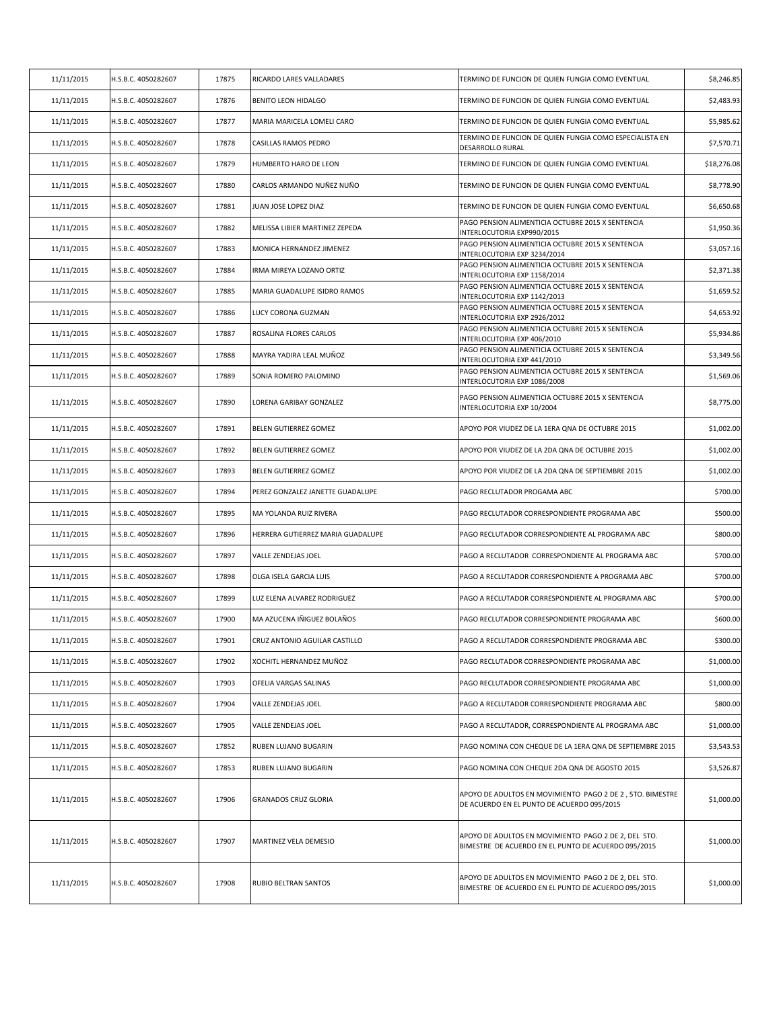| 11/11/2015 | H.S.B.C. 4050282607 | 17875 | RICARDO LARES VALLADARES          | TERMINO DE FUNCION DE QUIEN FUNGIA COMO EVENTUAL                                                            | \$8,246.85  |
|------------|---------------------|-------|-----------------------------------|-------------------------------------------------------------------------------------------------------------|-------------|
| 11/11/2015 | H.S.B.C. 4050282607 | 17876 | BENITO LEON HIDALGO               | TERMINO DE FUNCION DE QUIEN FUNGIA COMO EVENTUAL                                                            | \$2,483.93  |
| 11/11/2015 | H.S.B.C. 4050282607 | 17877 | MARIA MARICELA LOMELI CARO        | TERMINO DE FUNCION DE QUIEN FUNGIA COMO EVENTUAL                                                            | \$5,985.62  |
| 11/11/2015 | H.S.B.C. 4050282607 | 17878 | CASILLAS RAMOS PEDRO              | TERMINO DE FUNCION DE QUIEN FUNGIA COMO ESPECIALISTA EN<br>DESARROLLO RURAL                                 | \$7,570.71  |
| 11/11/2015 | H.S.B.C. 4050282607 | 17879 | HUMBERTO HARO DE LEON             | TERMINO DE FUNCION DE QUIEN FUNGIA COMO EVENTUAL                                                            | \$18,276.08 |
| 11/11/2015 | H.S.B.C. 4050282607 | 17880 | CARLOS ARMANDO NUÑEZ NUÑO         | TERMINO DE FUNCION DE QUIEN FUNGIA COMO EVENTUAL                                                            | \$8,778.90  |
| 11/11/2015 | H.S.B.C. 4050282607 | 17881 | JUAN JOSE LOPEZ DIAZ              | TERMINO DE FUNCION DE QUIEN FUNGIA COMO EVENTUAL                                                            | \$6,650.68  |
| 11/11/2015 | H.S.B.C. 4050282607 | 17882 | MELISSA LIBIER MARTINEZ ZEPEDA    | PAGO PENSION ALIMENTICIA OCTUBRE 2015 X SENTENCIA<br>INTERLOCUTORIA EXP990/2015                             | \$1,950.36  |
| 11/11/2015 | H.S.B.C. 4050282607 | 17883 | MONICA HERNANDEZ JIMENEZ          | PAGO PENSION ALIMENTICIA OCTUBRE 2015 X SENTENCIA<br>INTERLOCUTORIA EXP 3234/2014                           | \$3,057.16  |
| 11/11/2015 | H.S.B.C. 4050282607 | 17884 | IRMA MIREYA LOZANO ORTIZ          | PAGO PENSION ALIMENTICIA OCTUBRE 2015 X SENTENCIA<br>INTERLOCUTORIA EXP 1158/2014                           | \$2,371.38  |
| 11/11/2015 | H.S.B.C. 4050282607 | 17885 | MARIA GUADALUPE ISIDRO RAMOS      | PAGO PENSION ALIMENTICIA OCTUBRE 2015 X SENTENCIA<br>INTERLOCUTORIA EXP 1142/2013                           | \$1,659.52  |
| 11/11/2015 | H.S.B.C. 4050282607 | 17886 | LUCY CORONA GUZMAN                | PAGO PENSION ALIMENTICIA OCTUBRE 2015 X SENTENCIA<br>INTERLOCUTORIA EXP 2926/2012                           | \$4,653.92  |
| 11/11/2015 | H.S.B.C. 4050282607 | 17887 | ROSALINA FLORES CARLOS            | PAGO PENSION ALIMENTICIA OCTUBRE 2015 X SENTENCIA<br>INTERLOCUTORIA EXP 406/2010                            | \$5,934.86  |
| 11/11/2015 | H.S.B.C. 4050282607 | 17888 | MAYRA YADIRA LEAL MUÑOZ           | PAGO PENSION ALIMENTICIA OCTUBRE 2015 X SENTENCIA<br>INTERLOCUTORIA EXP 441/2010                            | \$3,349.56  |
| 11/11/2015 | H.S.B.C. 4050282607 | 17889 | SONIA ROMERO PALOMINO             | PAGO PENSION ALIMENTICIA OCTUBRE 2015 X SENTENCIA<br>INTERLOCUTORIA EXP 1086/2008                           | \$1,569.06  |
| 11/11/2015 | H.S.B.C. 4050282607 | 17890 | LORENA GARIBAY GONZALEZ           | PAGO PENSION ALIMENTICIA OCTUBRE 2015 X SENTENCIA<br>INTERLOCUTORIA EXP 10/2004                             | \$8,775.00  |
| 11/11/2015 | H.S.B.C. 4050282607 | 17891 | BELEN GUTIERREZ GOMEZ             | APOYO POR VIUDEZ DE LA 1ERA QNA DE OCTUBRE 2015                                                             | \$1,002.00  |
| 11/11/2015 | H.S.B.C. 4050282607 | 17892 | BELEN GUTIERREZ GOMEZ             | APOYO POR VIUDEZ DE LA 2DA QNA DE OCTUBRE 2015                                                              | \$1,002.00  |
| 11/11/2015 | H.S.B.C. 4050282607 | 17893 | BELEN GUTIERREZ GOMEZ             | APOYO POR VIUDEZ DE LA 2DA QNA DE SEPTIEMBRE 2015                                                           | \$1,002.00  |
| 11/11/2015 | H.S.B.C. 4050282607 | 17894 | PEREZ GONZALEZ JANETTE GUADALUPE  | PAGO RECLUTADOR PROGAMA ABC                                                                                 | \$700.00    |
| 11/11/2015 | H.S.B.C. 4050282607 | 17895 | MA YOLANDA RUIZ RIVERA            | PAGO RECLUTADOR CORRESPONDIENTE PROGRAMA ABC                                                                | \$500.00    |
| 11/11/2015 | H.S.B.C. 4050282607 | 17896 | HERRERA GUTIERREZ MARIA GUADALUPE | PAGO RECLUTADOR CORRESPONDIENTE AL PROGRAMA ABC                                                             | \$800.00    |
| 11/11/2015 | H.S.B.C. 4050282607 | 17897 | VALLE ZENDEJAS JOEL               | PAGO A RECLUTADOR CORRESPONDIENTE AL PROGRAMA ABC                                                           | \$700.00    |
| 11/11/2015 | H.S.B.C. 4050282607 | 17898 | OLGA ISELA GARCIA LUIS            | PAGO A RECLUTADOR CORRESPONDIENTE A PROGRAMA ABC                                                            | \$700.00    |
| 11/11/2015 | H.S.B.C. 4050282607 | 17899 | LUZ ELENA ALVAREZ RODRIGUEZ       | PAGO A RECLUTADOR CORRESPONDIENTE AL PROGRAMA ABC                                                           | \$700.00    |
| 11/11/2015 | H.S.B.C. 4050282607 | 17900 | MA AZUCENA IÑIGUEZ BOLAÑOS        | PAGO RECLUTADOR CORRESPONDIENTE PROGRAMA ABC                                                                | \$600.00    |
| 11/11/2015 | I.S.B.C. 4050282607 | 17901 | CRUZ ANTONIO AGUILAR CASTILLO     | PAGO A RECLUTADOR CORRESPONDIENTE PROGRAMA ABC                                                              | \$300.00    |
| 11/11/2015 | H.S.B.C. 4050282607 | 17902 | XOCHITL HERNANDEZ MUÑOZ           | PAGO RECLUTADOR CORRESPONDIENTE PROGRAMA ABC                                                                | \$1,000.00  |
| 11/11/2015 | H.S.B.C. 4050282607 | 17903 | OFELIA VARGAS SALINAS             | PAGO RECLUTADOR CORRESPONDIENTE PROGRAMA ABC                                                                | \$1,000.00  |
| 11/11/2015 | H.S.B.C. 4050282607 | 17904 | <b>VALLE ZENDEJAS JOEL</b>        | PAGO A RECLUTADOR CORRESPONDIENTE PROGRAMA ABC                                                              | \$800.00    |
| 11/11/2015 | H.S.B.C. 4050282607 | 17905 | VALLE ZENDEJAS JOEL               | PAGO A RECLUTADOR, CORRESPONDIENTE AL PROGRAMA ABC                                                          | \$1,000.00  |
| 11/11/2015 | H.S.B.C. 4050282607 | 17852 | RUBEN LUJANO BUGARIN              | PAGO NOMINA CON CHEQUE DE LA 1ERA QNA DE SEPTIEMBRE 2015                                                    | \$3,543.53  |
| 11/11/2015 | H.S.B.C. 4050282607 | 17853 | RUBEN LUJANO BUGARIN              | PAGO NOMINA CON CHEQUE 2DA QNA DE AGOSTO 2015                                                               | \$3,526.87  |
| 11/11/2015 | H.S.B.C. 4050282607 | 17906 | <b>GRANADOS CRUZ GLORIA</b>       | APOYO DE ADULTOS EN MOVIMIENTO PAGO 2 DE 2, 5TO. BIMESTRE<br>DE ACUERDO EN EL PUNTO DE ACUERDO 095/2015     | \$1,000.00  |
| 11/11/2015 | H.S.B.C. 4050282607 | 17907 | MARTINEZ VELA DEMESIO             | APOYO DE ADULTOS EN MOVIMIENTO PAGO 2 DE 2, DEL 5TO.<br>BIMESTRE DE ACUERDO EN EL PUNTO DE ACUERDO 095/2015 | \$1,000.00  |
| 11/11/2015 | H.S.B.C. 4050282607 | 17908 | RUBIO BELTRAN SANTOS              | APOYO DE ADULTOS EN MOVIMIENTO PAGO 2 DE 2, DEL 5TO.<br>BIMESTRE DE ACUERDO EN EL PUNTO DE ACUERDO 095/2015 | \$1,000.00  |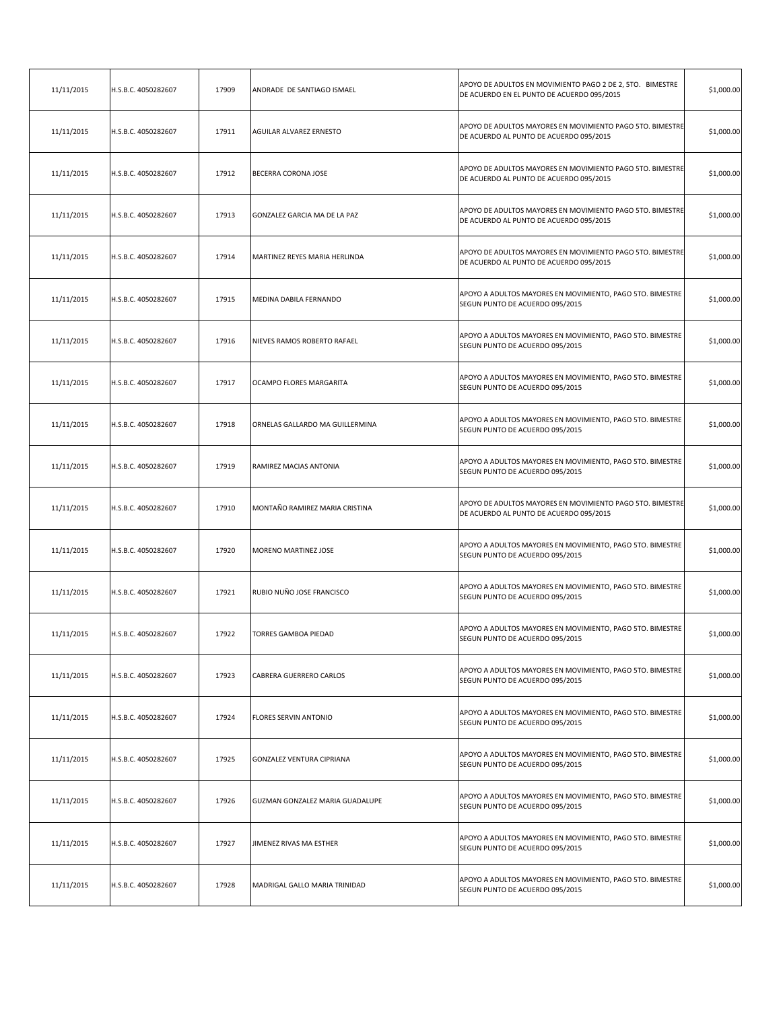| 11/11/2015 | H.S.B.C. 4050282607 | 17909 | ANDRADE DE SANTIAGO ISMAEL       | APOYO DE ADULTOS EN MOVIMIENTO PAGO 2 DE 2, 5TO. BIMESTRE<br>DE ACUERDO EN EL PUNTO DE ACUERDO 095/2015 | \$1,000.00 |
|------------|---------------------|-------|----------------------------------|---------------------------------------------------------------------------------------------------------|------------|
| 11/11/2015 | H.S.B.C. 4050282607 | 17911 | AGUILAR ALVAREZ ERNESTO          | APOYO DE ADULTOS MAYORES EN MOVIMIENTO PAGO 5TO. BIMESTRE<br>DE ACUERDO AL PUNTO DE ACUERDO 095/2015    | \$1,000.00 |
| 11/11/2015 | H.S.B.C. 4050282607 | 17912 | BECERRA CORONA JOSE              | APOYO DE ADULTOS MAYORES EN MOVIMIENTO PAGO 5TO. BIMESTRE<br>DE ACUERDO AL PUNTO DE ACUERDO 095/2015    | \$1,000.00 |
| 11/11/2015 | H.S.B.C. 4050282607 | 17913 | GONZALEZ GARCIA MA DE LA PAZ     | APOYO DE ADULTOS MAYORES EN MOVIMIENTO PAGO 5TO. BIMESTRE<br>DE ACUERDO AL PUNTO DE ACUERDO 095/2015    | \$1,000.00 |
| 11/11/2015 | H.S.B.C. 4050282607 | 17914 | MARTINEZ REYES MARIA HERLINDA    | APOYO DE ADULTOS MAYORES EN MOVIMIENTO PAGO 5TO. BIMESTRE<br>DE ACUERDO AL PUNTO DE ACUERDO 095/2015    | \$1,000.00 |
| 11/11/2015 | H.S.B.C. 4050282607 | 17915 | MEDINA DABILA FERNANDO           | APOYO A ADULTOS MAYORES EN MOVIMIENTO, PAGO 5TO. BIMESTRE<br>SEGUN PUNTO DE ACUERDO 095/2015            | \$1,000.00 |
| 11/11/2015 | H.S.B.C. 4050282607 | 17916 | NIEVES RAMOS ROBERTO RAFAEL      | APOYO A ADULTOS MAYORES EN MOVIMIENTO, PAGO 5TO. BIMESTRE<br>SEGUN PUNTO DE ACUERDO 095/2015            | \$1,000.00 |
| 11/11/2015 | H.S.B.C. 4050282607 | 17917 | OCAMPO FLORES MARGARITA          | APOYO A ADULTOS MAYORES EN MOVIMIENTO, PAGO 5TO. BIMESTRE<br>SEGUN PUNTO DE ACUERDO 095/2015            | \$1,000.00 |
| 11/11/2015 | H.S.B.C. 4050282607 | 17918 | ORNELAS GALLARDO MA GUILLERMINA  | APOYO A ADULTOS MAYORES EN MOVIMIENTO, PAGO 5TO. BIMESTRE<br>SEGUN PUNTO DE ACUERDO 095/2015            | \$1,000.00 |
| 11/11/2015 | H.S.B.C. 4050282607 | 17919 | RAMIREZ MACIAS ANTONIA           | APOYO A ADULTOS MAYORES EN MOVIMIENTO, PAGO 5TO. BIMESTRE<br>SEGUN PUNTO DE ACUERDO 095/2015            | \$1,000.00 |
| 11/11/2015 | H.S.B.C. 4050282607 | 17910 | MONTAÑO RAMIREZ MARIA CRISTINA   | APOYO DE ADULTOS MAYORES EN MOVIMIENTO PAGO 5TO. BIMESTRE<br>DE ACUERDO AL PUNTO DE ACUERDO 095/2015    | \$1,000.00 |
| 11/11/2015 | H.S.B.C. 4050282607 | 17920 | MORENO MARTINEZ JOSE             | APOYO A ADULTOS MAYORES EN MOVIMIENTO, PAGO 5TO. BIMESTRE<br>SEGUN PUNTO DE ACUERDO 095/2015            | \$1,000.00 |
| 11/11/2015 | H.S.B.C. 4050282607 | 17921 | RUBIO NUÑO JOSE FRANCISCO        | APOYO A ADULTOS MAYORES EN MOVIMIENTO, PAGO 5TO. BIMESTRE<br>SEGUN PUNTO DE ACUERDO 095/2015            | \$1,000.00 |
| 11/11/2015 | H.S.B.C. 4050282607 | 17922 | <b>TORRES GAMBOA PIEDAD</b>      | APOYO A ADULTOS MAYORES EN MOVIMIENTO, PAGO 5TO. BIMESTRE<br>SEGUN PUNTO DE ACUERDO 095/2015            | \$1,000.00 |
| 11/11/2015 | H.S.B.C. 4050282607 | 17923 | CABRERA GUERRERO CARLOS          | APOYO A ADULTOS MAYORES EN MOVIMIENTO, PAGO 5TO. BIMESTRE<br>SEGUN PUNTO DE ACUERDO 095/2015            | \$1,000.00 |
| 11/11/2015 | H.S.B.C. 4050282607 | 17924 | FLORES SERVIN ANTONIO            | APOYO A ADULTOS MAYORES EN MOVIMIENTO, PAGO 5TO. BIMESTRE<br>SEGUN PUNTO DE ACUERDO 095/2015            | \$1,000.00 |
| 11/11/2015 | H.S.B.C. 4050282607 | 17925 | <b>GONZALEZ VENTURA CIPRIANA</b> | APOYO A ADULTOS MAYORES EN MOVIMIENTO, PAGO 5TO. BIMESTRE<br>SEGUN PUNTO DE ACUERDO 095/2015            | \$1,000.00 |
| 11/11/2015 | H.S.B.C. 4050282607 | 17926 | GUZMAN GONZALEZ MARIA GUADALUPE  | APOYO A ADULTOS MAYORES EN MOVIMIENTO, PAGO 5TO. BIMESTRE<br>SEGUN PUNTO DE ACUERDO 095/2015            | \$1,000.00 |
| 11/11/2015 | H.S.B.C. 4050282607 | 17927 | JIMENEZ RIVAS MA ESTHER          | APOYO A ADULTOS MAYORES EN MOVIMIENTO, PAGO 5TO. BIMESTRE<br>SEGUN PUNTO DE ACUERDO 095/2015            | \$1,000.00 |
| 11/11/2015 | H.S.B.C. 4050282607 | 17928 | MADRIGAL GALLO MARIA TRINIDAD    | APOYO A ADULTOS MAYORES EN MOVIMIENTO, PAGO 5TO. BIMESTRE<br>SEGUN PUNTO DE ACUERDO 095/2015            | \$1,000.00 |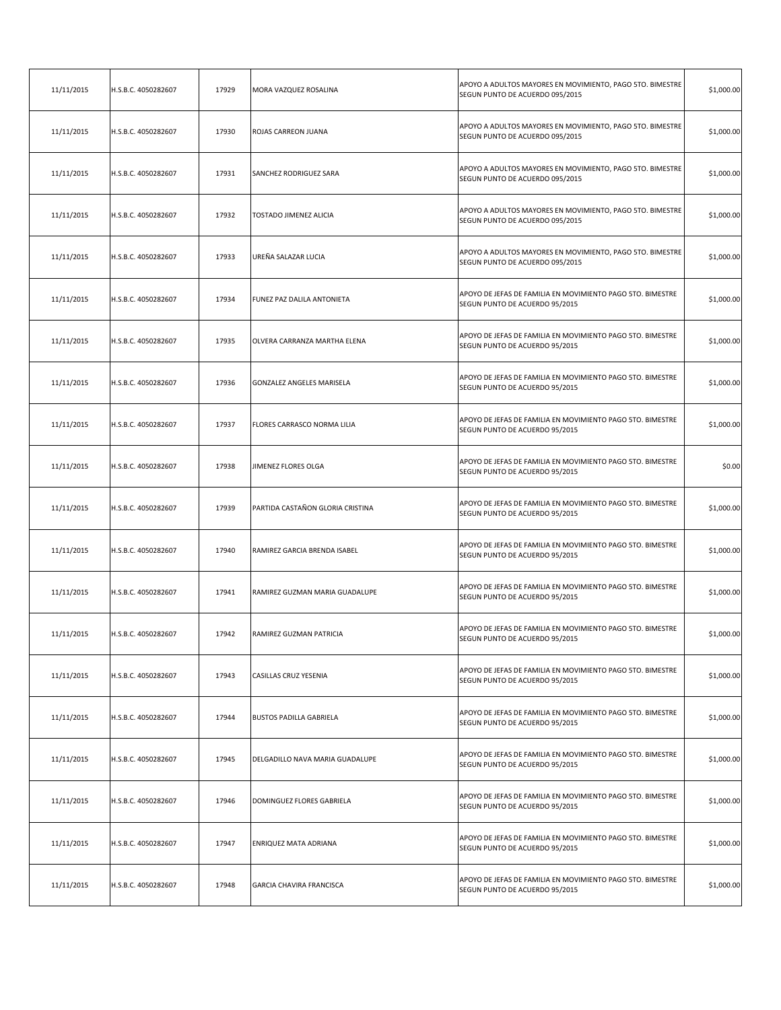| 11/11/2015 | H.S.B.C. 4050282607 | 17929 | MORA VAZQUEZ ROSALINA            | APOYO A ADULTOS MAYORES EN MOVIMIENTO, PAGO 5TO. BIMESTRE<br>SEGUN PUNTO DE ACUERDO 095/2015 | \$1,000.00 |
|------------|---------------------|-------|----------------------------------|----------------------------------------------------------------------------------------------|------------|
| 11/11/2015 | H.S.B.C. 4050282607 | 17930 | ROJAS CARREON JUANA              | APOYO A ADULTOS MAYORES EN MOVIMIENTO, PAGO 5TO. BIMESTRE<br>SEGUN PUNTO DE ACUERDO 095/2015 | \$1,000.00 |
| 11/11/2015 | H.S.B.C. 4050282607 | 17931 | SANCHEZ RODRIGUEZ SARA           | APOYO A ADULTOS MAYORES EN MOVIMIENTO, PAGO 5TO. BIMESTRE<br>SEGUN PUNTO DE ACUERDO 095/2015 | \$1,000.00 |
| 11/11/2015 | H.S.B.C. 4050282607 | 17932 | TOSTADO JIMENEZ ALICIA           | APOYO A ADULTOS MAYORES EN MOVIMIENTO, PAGO 5TO. BIMESTRE<br>SEGUN PUNTO DE ACUERDO 095/2015 | \$1,000.00 |
| 11/11/2015 | H.S.B.C. 4050282607 | 17933 | UREÑA SALAZAR LUCIA              | APOYO A ADULTOS MAYORES EN MOVIMIENTO, PAGO 5TO. BIMESTRE<br>SEGUN PUNTO DE ACUERDO 095/2015 | \$1,000.00 |
| 11/11/2015 | H.S.B.C. 4050282607 | 17934 | FUNEZ PAZ DALILA ANTONIETA       | APOYO DE JEFAS DE FAMILIA EN MOVIMIENTO PAGO 5TO. BIMESTRE<br>SEGUN PUNTO DE ACUERDO 95/2015 | \$1,000.00 |
| 11/11/2015 | H.S.B.C. 4050282607 | 17935 | OLVERA CARRANZA MARTHA ELENA     | APOYO DE JEFAS DE FAMILIA EN MOVIMIENTO PAGO 5TO. BIMESTRE<br>SEGUN PUNTO DE ACUERDO 95/2015 | \$1,000.00 |
| 11/11/2015 | H.S.B.C. 4050282607 | 17936 | GONZALEZ ANGELES MARISELA        | APOYO DE JEFAS DE FAMILIA EN MOVIMIENTO PAGO 5TO. BIMESTRE<br>SEGUN PUNTO DE ACUERDO 95/2015 | \$1,000.00 |
| 11/11/2015 | H.S.B.C. 4050282607 | 17937 | FLORES CARRASCO NORMA LILIA      | APOYO DE JEFAS DE FAMILIA EN MOVIMIENTO PAGO 5TO. BIMESTRE<br>SEGUN PUNTO DE ACUERDO 95/2015 | \$1,000.00 |
| 11/11/2015 | H.S.B.C. 4050282607 | 17938 | JIMENEZ FLORES OLGA              | APOYO DE JEFAS DE FAMILIA EN MOVIMIENTO PAGO 5TO. BIMESTRE<br>SEGUN PUNTO DE ACUERDO 95/2015 | \$0.00     |
| 11/11/2015 | H.S.B.C. 4050282607 | 17939 | PARTIDA CASTAÑON GLORIA CRISTINA | APOYO DE JEFAS DE FAMILIA EN MOVIMIENTO PAGO 5TO. BIMESTRE<br>SEGUN PUNTO DE ACUERDO 95/2015 | \$1,000.00 |
| 11/11/2015 | H.S.B.C. 4050282607 | 17940 | RAMIREZ GARCIA BRENDA ISABEL     | APOYO DE JEFAS DE FAMILIA EN MOVIMIENTO PAGO 5TO. BIMESTRE<br>SEGUN PUNTO DE ACUERDO 95/2015 | \$1,000.00 |
| 11/11/2015 | H.S.B.C. 4050282607 | 17941 | RAMIREZ GUZMAN MARIA GUADALUPE   | APOYO DE JEFAS DE FAMILIA EN MOVIMIENTO PAGO 5TO. BIMESTRE<br>SEGUN PUNTO DE ACUERDO 95/2015 | \$1,000.00 |
| 11/11/2015 | H.S.B.C. 4050282607 | 17942 | RAMIREZ GUZMAN PATRICIA          | APOYO DE JEFAS DE FAMILIA EN MOVIMIENTO PAGO 5TO. BIMESTRE<br>SEGUN PUNTO DE ACUERDO 95/2015 | \$1,000.00 |
| 11/11/2015 | H.S.B.C. 4050282607 | 17943 | CASILLAS CRUZ YESENIA            | APOYO DE JEFAS DE FAMILIA EN MOVIMIENTO PAGO 5TO. BIMESTRE<br>SEGUN PUNTO DE ACUERDO 95/2015 | \$1,000.00 |
| 11/11/2015 | H.S.B.C. 4050282607 | 17944 | <b>BUSTOS PADILLA GABRIELA</b>   | APOYO DE JEFAS DE FAMILIA EN MOVIMIENTO PAGO 5TO. BIMESTRE<br>SEGUN PUNTO DE ACUERDO 95/2015 | \$1,000.00 |
| 11/11/2015 | H.S.B.C. 4050282607 | 17945 | DELGADILLO NAVA MARIA GUADALUPE  | APOYO DE JEFAS DE FAMILIA EN MOVIMIENTO PAGO 5TO. BIMESTRE<br>SEGUN PUNTO DE ACUERDO 95/2015 | \$1,000.00 |
| 11/11/2015 | H.S.B.C. 4050282607 | 17946 | DOMINGUEZ FLORES GABRIELA        | APOYO DE JEFAS DE FAMILIA EN MOVIMIENTO PAGO 5TO. BIMESTRE<br>SEGUN PUNTO DE ACUERDO 95/2015 | \$1,000.00 |
| 11/11/2015 | H.S.B.C. 4050282607 | 17947 | ENRIQUEZ MATA ADRIANA            | APOYO DE JEFAS DE FAMILIA EN MOVIMIENTO PAGO 5TO. BIMESTRE<br>SEGUN PUNTO DE ACUERDO 95/2015 | \$1,000.00 |
| 11/11/2015 | H.S.B.C. 4050282607 | 17948 | <b>GARCIA CHAVIRA FRANCISCA</b>  | APOYO DE JEFAS DE FAMILIA EN MOVIMIENTO PAGO 5TO. BIMESTRE<br>SEGUN PUNTO DE ACUERDO 95/2015 | \$1,000.00 |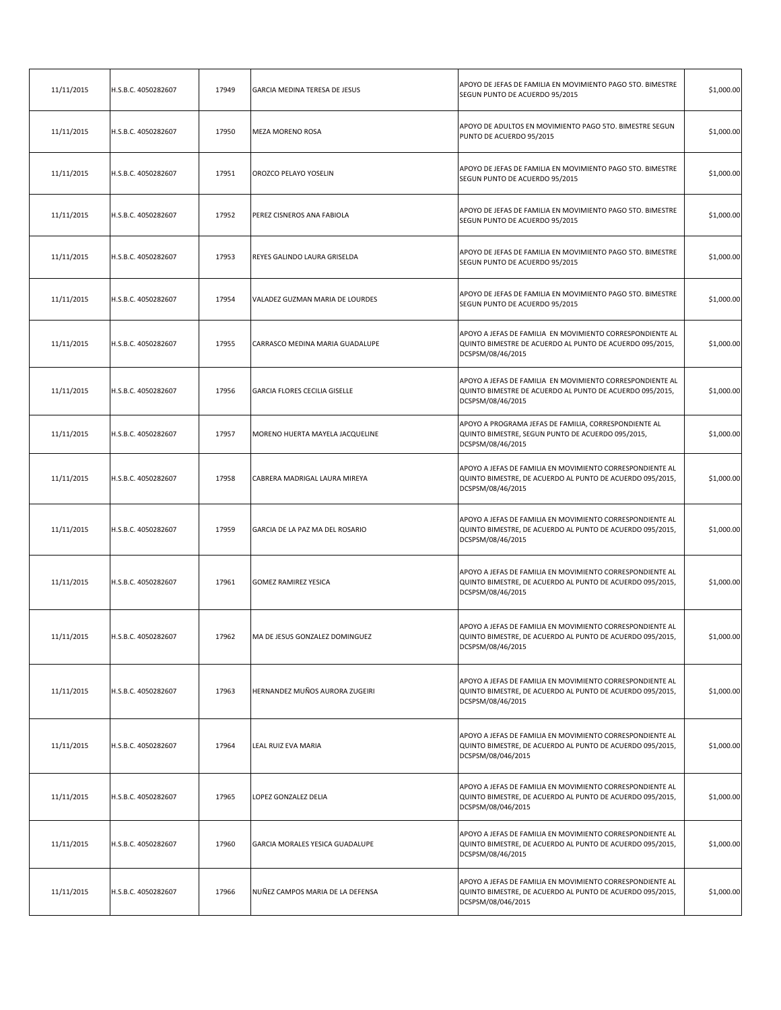| 11/11/2015 | H.S.B.C. 4050282607 | 17949 | GARCIA MEDINA TERESA DE JESUS    | APOYO DE JEFAS DE FAMILIA EN MOVIMIENTO PAGO 5TO. BIMESTRE<br>SEGUN PUNTO DE ACUERDO 95/2015                                                 | \$1,000.00 |
|------------|---------------------|-------|----------------------------------|----------------------------------------------------------------------------------------------------------------------------------------------|------------|
| 11/11/2015 | H.S.B.C. 4050282607 | 17950 | MEZA MORENO ROSA                 | APOYO DE ADULTOS EN MOVIMIENTO PAGO 5TO. BIMESTRE SEGUN<br>PUNTO DE ACUERDO 95/2015                                                          | \$1,000.00 |
| 11/11/2015 | H.S.B.C. 4050282607 | 17951 | OROZCO PELAYO YOSELIN            | APOYO DE JEFAS DE FAMILIA EN MOVIMIENTO PAGO 5TO. BIMESTRE<br>SEGUN PUNTO DE ACUERDO 95/2015                                                 | \$1,000.00 |
| 11/11/2015 | H.S.B.C. 4050282607 | 17952 | PEREZ CISNEROS ANA FABIOLA       | APOYO DE JEFAS DE FAMILIA EN MOVIMIENTO PAGO 5TO. BIMESTRE<br>SEGUN PUNTO DE ACUERDO 95/2015                                                 | \$1,000.00 |
| 11/11/2015 | H.S.B.C. 4050282607 | 17953 | REYES GALINDO LAURA GRISELDA     | APOYO DE JEFAS DE FAMILIA EN MOVIMIENTO PAGO 5TO. BIMESTRE<br>SEGUN PUNTO DE ACUERDO 95/2015                                                 | \$1,000.00 |
| 11/11/2015 | H.S.B.C. 4050282607 | 17954 | VALADEZ GUZMAN MARIA DE LOURDES  | APOYO DE JEFAS DE FAMILIA EN MOVIMIENTO PAGO 5TO. BIMESTRE<br>SEGUN PUNTO DE ACUERDO 95/2015                                                 | \$1,000.00 |
| 11/11/2015 | H.S.B.C. 4050282607 | 17955 | CARRASCO MEDINA MARIA GUADALUPE  | APOYO A JEFAS DE FAMILIA EN MOVIMIENTO CORRESPONDIENTE AL<br>QUINTO BIMESTRE DE ACUERDO AL PUNTO DE ACUERDO 095/2015,<br>DCSPSM/08/46/2015   | \$1,000.00 |
| 11/11/2015 | H.S.B.C. 4050282607 | 17956 | GARCIA FLORES CECILIA GISELLE    | APOYO A JEFAS DE FAMILIA EN MOVIMIENTO CORRESPONDIENTE AL<br>QUINTO BIMESTRE DE ACUERDO AL PUNTO DE ACUERDO 095/2015,<br>DCSPSM/08/46/2015   | \$1,000.00 |
| 11/11/2015 | H.S.B.C. 4050282607 | 17957 | MORENO HUERTA MAYELA JACQUELINE  | APOYO A PROGRAMA JEFAS DE FAMILIA, CORRESPONDIENTE AL<br>QUINTO BIMESTRE, SEGUN PUNTO DE ACUERDO 095/2015,<br>DCSPSM/08/46/2015              | \$1,000.00 |
| 11/11/2015 | H.S.B.C. 4050282607 | 17958 | CABRERA MADRIGAL LAURA MIREYA    | APOYO A JEFAS DE FAMILIA EN MOVIMIENTO CORRESPONDIENTE AL<br>QUINTO BIMESTRE, DE ACUERDO AL PUNTO DE ACUERDO 095/2015,<br>DCSPSM/08/46/2015  | \$1,000.00 |
| 11/11/2015 | H.S.B.C. 4050282607 | 17959 | GARCIA DE LA PAZ MA DEL ROSARIO  | APOYO A JEFAS DE FAMILIA EN MOVIMIENTO CORRESPONDIENTE AL<br>QUINTO BIMESTRE, DE ACUERDO AL PUNTO DE ACUERDO 095/2015,<br>DCSPSM/08/46/2015  | \$1,000.00 |
| 11/11/2015 | H.S.B.C. 4050282607 | 17961 | GOMEZ RAMIREZ YESICA             | APOYO A JEFAS DE FAMILIA EN MOVIMIENTO CORRESPONDIENTE AL<br>QUINTO BIMESTRE, DE ACUERDO AL PUNTO DE ACUERDO 095/2015,<br>DCSPSM/08/46/2015  | \$1,000.00 |
| 11/11/2015 | H.S.B.C. 4050282607 | 17962 | MA DE JESUS GONZALEZ DOMINGUEZ   | APOYO A JEFAS DE FAMILIA EN MOVIMIENTO CORRESPONDIENTE AL<br>QUINTO BIMESTRE, DE ACUERDO AL PUNTO DE ACUERDO 095/2015,<br>DCSPSM/08/46/2015  | \$1,000.00 |
| 11/11/2015 | H.S.B.C. 4050282607 | 17963 | HERNANDEZ MUÑOS AURORA ZUGEIRI   | APOYO A JEFAS DE FAMILIA EN MOVIMIENTO CORRESPONDIENTE AL<br>QUINTO BIMESTRE, DE ACUERDO AL PUNTO DE ACUERDO 095/2015,<br>DCSPSM/08/46/2015  | \$1,000.00 |
| 11/11/2015 | H.S.B.C. 4050282607 | 17964 | LEAL RUIZ EVA MARIA              | APOYO A JEFAS DE FAMILIA EN MOVIMIENTO CORRESPONDIENTE AL<br>QUINTO BIMESTRE, DE ACUERDO AL PUNTO DE ACUERDO 095/2015,<br>DCSPSM/08/046/2015 | \$1,000.00 |
| 11/11/2015 | H.S.B.C. 4050282607 | 17965 | LOPEZ GONZALEZ DELIA             | APOYO A JEFAS DE FAMILIA EN MOVIMIENTO CORRESPONDIENTE AL<br>QUINTO BIMESTRE, DE ACUERDO AL PUNTO DE ACUERDO 095/2015,<br>DCSPSM/08/046/2015 | \$1,000.00 |
| 11/11/2015 | H.S.B.C. 4050282607 | 17960 | GARCIA MORALES YESICA GUADALUPE  | APOYO A JEFAS DE FAMILIA EN MOVIMIENTO CORRESPONDIENTE AL<br>QUINTO BIMESTRE, DE ACUERDO AL PUNTO DE ACUERDO 095/2015,<br>DCSPSM/08/46/2015  | \$1,000.00 |
| 11/11/2015 | H.S.B.C. 4050282607 | 17966 | NUÑEZ CAMPOS MARIA DE LA DEFENSA | APOYO A JEFAS DE FAMILIA EN MOVIMIENTO CORRESPONDIENTE AL<br>QUINTO BIMESTRE, DE ACUERDO AL PUNTO DE ACUERDO 095/2015,<br>DCSPSM/08/046/2015 | \$1,000.00 |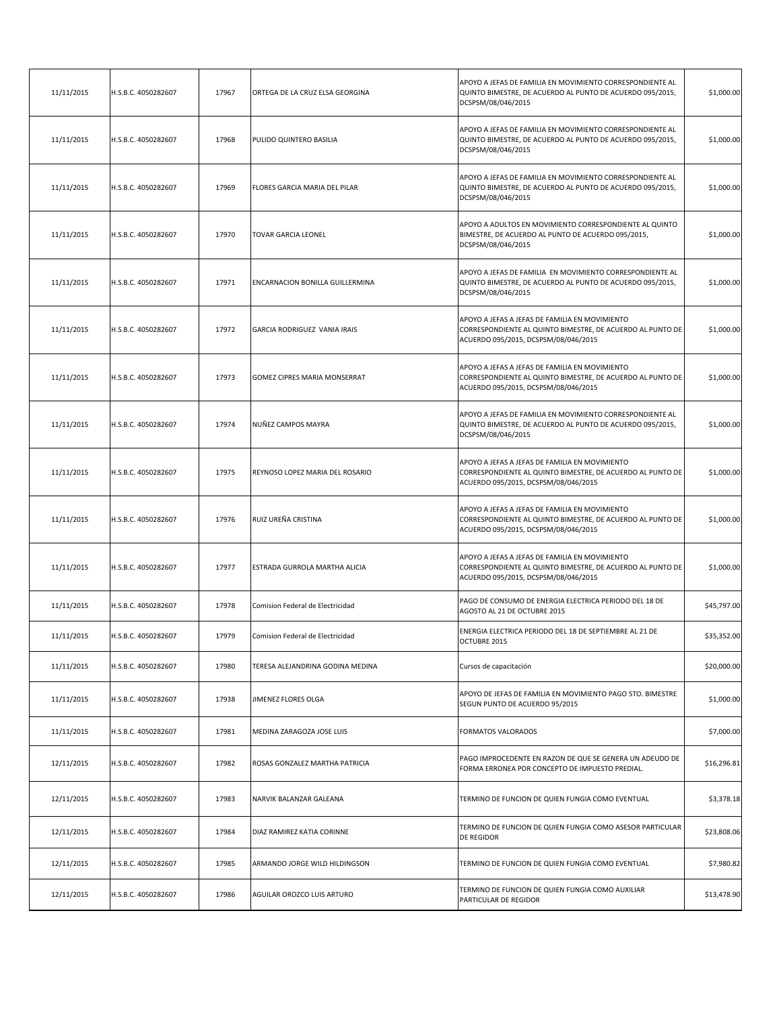| 11/11/2015 | H.S.B.C. 4050282607 | 17967 | ORTEGA DE LA CRUZ ELSA GEORGINA  | APOYO A JEFAS DE FAMILIA EN MOVIMIENTO CORRESPONDIENTE AL<br>QUINTO BIMESTRE, DE ACUERDO AL PUNTO DE ACUERDO 095/2015,<br>DCSPSM/08/046/2015         | \$1,000.00  |
|------------|---------------------|-------|----------------------------------|------------------------------------------------------------------------------------------------------------------------------------------------------|-------------|
| 11/11/2015 | H.S.B.C. 4050282607 | 17968 | PULIDO QUINTERO BASILIA          | APOYO A JEFAS DE FAMILIA EN MOVIMIENTO CORRESPONDIENTE AL<br>QUINTO BIMESTRE, DE ACUERDO AL PUNTO DE ACUERDO 095/2015,<br>DCSPSM/08/046/2015         | \$1,000.00  |
| 11/11/2015 | H.S.B.C. 4050282607 | 17969 | FLORES GARCIA MARIA DEL PILAR    | APOYO A JEFAS DE FAMILIA EN MOVIMIENTO CORRESPONDIENTE AL<br>QUINTO BIMESTRE, DE ACUERDO AL PUNTO DE ACUERDO 095/2015,<br>DCSPSM/08/046/2015         | \$1,000.00  |
| 11/11/2015 | H.S.B.C. 4050282607 | 17970 | <b>TOVAR GARCIA LEONEL</b>       | APOYO A ADULTOS EN MOVIMIENTO CORRESPONDIENTE AL QUINTO<br>BIMESTRE, DE ACUERDO AL PUNTO DE ACUERDO 095/2015,<br>DCSPSM/08/046/2015                  | \$1,000.00  |
| 11/11/2015 | H.S.B.C. 4050282607 | 17971 | ENCARNACION BONILLA GUILLERMINA  | APOYO A JEFAS DE FAMILIA EN MOVIMIENTO CORRESPONDIENTE AL<br>QUINTO BIMESTRE, DE ACUERDO AL PUNTO DE ACUERDO 095/2015,<br>DCSPSM/08/046/2015         | \$1,000.00  |
| 11/11/2015 | H.S.B.C. 4050282607 | 17972 | GARCIA RODRIGUEZ VANIA IRAIS     | APOYO A JEFAS A JEFAS DE FAMILIA EN MOVIMIENTO<br>CORRESPONDIENTE AL QUINTO BIMESTRE, DE ACUERDO AL PUNTO DE<br>ACUERDO 095/2015, DCSPSM/08/046/2015 | \$1,000.00  |
| 11/11/2015 | H.S.B.C. 4050282607 | 17973 | GOMEZ CIPRES MARIA MONSERRAT     | APOYO A JEFAS A JEFAS DE FAMILIA EN MOVIMIENTO<br>CORRESPONDIENTE AL QUINTO BIMESTRE, DE ACUERDO AL PUNTO DE<br>ACUERDO 095/2015, DCSPSM/08/046/2015 | \$1,000.00  |
| 11/11/2015 | H.S.B.C. 4050282607 | 17974 | NUÑEZ CAMPOS MAYRA               | APOYO A JEFAS DE FAMILIA EN MOVIMIENTO CORRESPONDIENTE AL<br>QUINTO BIMESTRE, DE ACUERDO AL PUNTO DE ACUERDO 095/2015,<br>DCSPSM/08/046/2015         | \$1,000.00  |
| 11/11/2015 | H.S.B.C. 4050282607 | 17975 | REYNOSO LOPEZ MARIA DEL ROSARIO  | APOYO A JEFAS A JEFAS DE FAMILIA EN MOVIMIENTO<br>CORRESPONDIENTE AL QUINTO BIMESTRE, DE ACUERDO AL PUNTO DE<br>ACUERDO 095/2015, DCSPSM/08/046/2015 | \$1,000.00  |
| 11/11/2015 | H.S.B.C. 4050282607 | 17976 | RUIZ UREÑA CRISTINA              | APOYO A JEFAS A JEFAS DE FAMILIA EN MOVIMIENTO<br>CORRESPONDIENTE AL QUINTO BIMESTRE, DE ACUERDO AL PUNTO DE<br>ACUERDO 095/2015, DCSPSM/08/046/2015 | \$1,000.00  |
| 11/11/2015 | H.S.B.C. 4050282607 | 17977 | ESTRADA GURROLA MARTHA ALICIA    | APOYO A JEFAS A JEFAS DE FAMILIA EN MOVIMIENTO<br>CORRESPONDIENTE AL QUINTO BIMESTRE, DE ACUERDO AL PUNTO DE<br>ACUERDO 095/2015, DCSPSM/08/046/2015 | \$1,000.00  |
| 11/11/2015 | H.S.B.C. 4050282607 | 17978 | Comision Federal de Electricidad | PAGO DE CONSUMO DE ENERGIA ELECTRICA PERIODO DEL 18 DE<br>AGOSTO AL 21 DE OCTUBRE 2015                                                               | \$45,797.00 |
| 11/11/2015 | H.S.B.C. 4050282607 | 17979 | Comision Federal de Electricidad | ENERGIA ELECTRICA PERIODO DEL 18 DE SEPTIEMBRE AL 21 DE<br>OCTUBRE 2015                                                                              | \$35,352.00 |
| 11/11/2015 | H.S.B.C. 4050282607 | 17980 | TERESA ALEJANDRINA GODINA MEDINA | Cursos de capacitación                                                                                                                               | \$20,000.00 |
| 11/11/2015 | H.S.B.C. 4050282607 | 17938 | JIMENEZ FLORES OLGA              | APOYO DE JEFAS DE FAMILIA EN MOVIMIENTO PAGO 5TO. BIMESTRE<br>SEGUN PUNTO DE ACUERDO 95/2015                                                         | \$1,000.00  |
| 11/11/2015 | H.S.B.C. 4050282607 | 17981 | MEDINA ZARAGOZA JOSE LUIS        | FORMATOS VALORADOS                                                                                                                                   | \$7,000.00  |
| 12/11/2015 | H.S.B.C. 4050282607 | 17982 | ROSAS GONZALEZ MARTHA PATRICIA   | PAGO IMPROCEDENTE EN RAZON DE QUE SE GENERA UN ADEUDO DE<br>FORMA ERRONEA POR CONCEPTO DE IMPUESTO PREDIAL.                                          | \$16,296.81 |
| 12/11/2015 | H.S.B.C. 4050282607 | 17983 | NARVIK BALANZAR GALEANA          | TERMINO DE FUNCION DE QUIEN FUNGIA COMO EVENTUAL                                                                                                     | \$3,378.18  |
| 12/11/2015 | H.S.B.C. 4050282607 | 17984 | DIAZ RAMIREZ KATIA CORINNE       | TERMINO DE FUNCION DE QUIEN FUNGIA COMO ASESOR PARTICULAR<br>DE REGIDOR                                                                              | \$23,808.06 |
| 12/11/2015 | H.S.B.C. 4050282607 | 17985 | ARMANDO JORGE WILD HILDINGSON    | TERMINO DE FUNCION DE QUIEN FUNGIA COMO EVENTUAL                                                                                                     | \$7,980.82  |
| 12/11/2015 | H.S.B.C. 4050282607 | 17986 | AGUILAR OROZCO LUIS ARTURO       | TERMINO DE FUNCION DE QUIEN FUNGIA COMO AUXILIAR<br>PARTICULAR DE REGIDOR                                                                            | \$13,478.90 |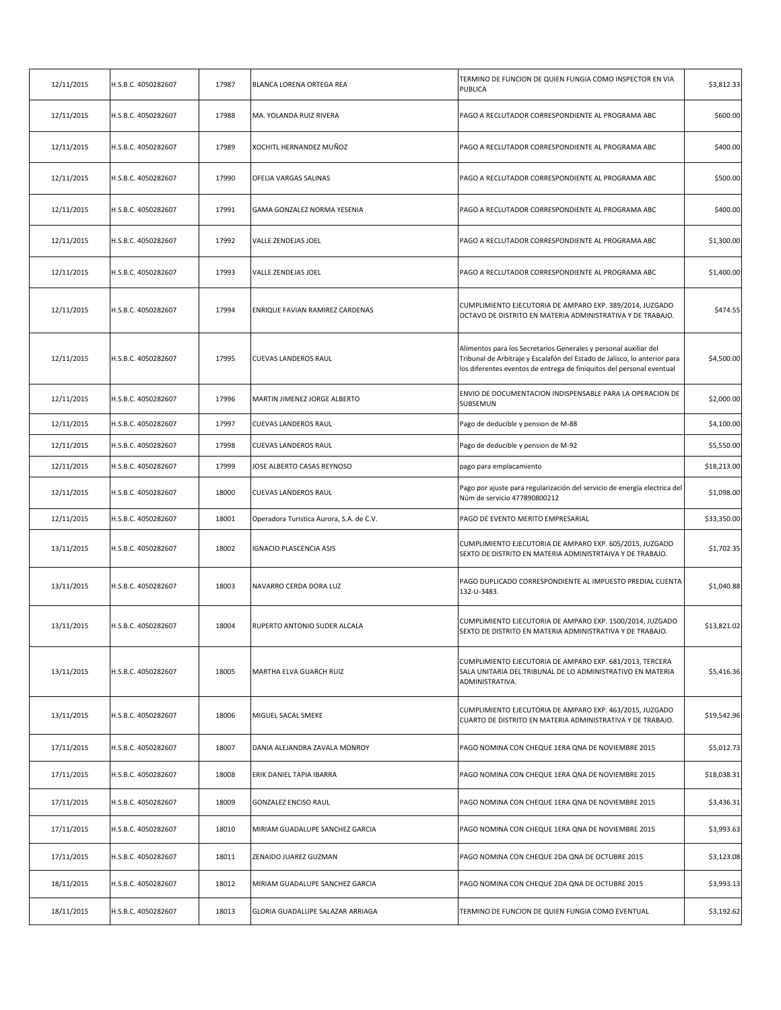| 12/11/2015 | H.S.B.C. 4050282607 | 17987 | BLANCA LORENA ORTEGA REA                 | TERMINO DE FUNCION DE QUIEN FUNGIA COMO INSPECTOR EN VIA<br>PUBLICA                                                                                                                                                    | \$3,812.33  |
|------------|---------------------|-------|------------------------------------------|------------------------------------------------------------------------------------------------------------------------------------------------------------------------------------------------------------------------|-------------|
| 12/11/2015 | H.S.B.C. 4050282607 | 17988 | MA. YOLANDA RUIZ RIVERA                  | PAGO A RECLUTADOR CORRESPONDIENTE AL PROGRAMA ABC                                                                                                                                                                      | \$600.00    |
| 12/11/2015 | H.S.B.C. 4050282607 | 17989 | XOCHITL HERNANDEZ MUÑOZ                  | PAGO A RECLUTADOR CORRESPONDIENTE AL PROGRAMA ABC                                                                                                                                                                      | \$400.00    |
| 12/11/2015 | H.S.B.C. 4050282607 | 17990 | OFELIA VARGAS SALINAS                    | PAGO A RECLUTADOR CORRESPONDIENTE AL PROGRAMA ABC                                                                                                                                                                      | \$500.00    |
| 12/11/2015 | H.S.B.C. 4050282607 | 17991 | GAMA GONZALEZ NORMA YESENIA              | PAGO A RECLUTADOR CORRESPONDIENTE AL PROGRAMA ABC                                                                                                                                                                      | \$400.00    |
| 12/11/2015 | H.S.B.C. 4050282607 | 17992 | <b>VALLE ZENDEJAS JOEL</b>               | PAGO A RECLUTADOR CORRESPONDIENTE AL PROGRAMA ABC                                                                                                                                                                      | \$1,300.00  |
| 12/11/2015 | H.S.B.C. 4050282607 | 17993 | VALLE ZENDEJAS JOEL                      | PAGO A RECLUTADOR CORRESPONDIENTE AL PROGRAMA ABC                                                                                                                                                                      | \$1,400.00  |
| 12/11/2015 | H.S.B.C. 4050282607 | 17994 | ENRIQUE FAVIAN RAMIREZ CARDENAS          | CUMPLIMIENTO EJECUTORIA DE AMPARO EXP. 389/2014, JUZGADO<br>OCTAVO DE DISTRITO EN MATERIA ADMINISTRATIVA Y DE TRABAJO.                                                                                                 | \$474.55    |
| 12/11/2015 | H.S.B.C. 4050282607 | 17995 | <b>CUEVAS LANDEROS RAUL</b>              | Alimentos para los Secretarios Generales y personal auxiliar del<br>Tribunal de Arbitraje y Escalafón del Estado de Jalisco, lo anterior para<br>los diferentes eventos de entrega de finiquitos del personal eventual | \$4,500.00  |
| 12/11/2015 | H.S.B.C. 4050282607 | 17996 | MARTIN JIMENEZ JORGE ALBERTO             | ENVIO DE DOCUMENTACION INDISPENSABLE PARA LA OPERACION DE<br>SUBSEMUN                                                                                                                                                  | \$2,000.00  |
| 12/11/2015 | H.S.B.C. 4050282607 | 17997 | CUEVAS LANDEROS RAUL                     | Pago de deducible y pension de M-88                                                                                                                                                                                    | \$4,100.00  |
| 12/11/2015 | H.S.B.C. 4050282607 | 17998 | <b>CUEVAS LANDEROS RAUL</b>              | Pago de deducible y pension de M-92                                                                                                                                                                                    | \$5,550.00  |
| 12/11/2015 | H.S.B.C. 4050282607 | 17999 | JOSE ALBERTO CASAS REYNOSO               | pago para emplacamiento                                                                                                                                                                                                | \$18,213.00 |
| 12/11/2015 | H.S.B.C. 4050282607 | 18000 | <b>CUEVAS LANDEROS RAUL</b>              | Pago por ajuste para regularización del servicio de energía electrica del<br>Núm de servicio 477890800212                                                                                                              | \$1,098.00  |
| 12/11/2015 | H.S.B.C. 4050282607 | 18001 | Operadora Turistica Aurora, S.A. de C.V. | PAGO DE EVENTO MERITO EMPRESARIAL                                                                                                                                                                                      | \$33,350.00 |
| 13/11/2015 | H.S.B.C. 4050282607 | 18002 | IGNACIO PLASCENCIA ASIS                  | CUMPLIMIENTO EJECUTORIA DE AMPARO EXP. 605/2015, JUZGADO<br>SEXTO DE DISTRITO EN MATERIA ADMINISTRTAIVA Y DE TRABAJO.                                                                                                  | \$1,702.35  |
| 13/11/2015 | H.S.B.C. 4050282607 | 18003 | NAVARRO CERDA DORA LUZ                   | PAGO DUPLICADO CORRESPONDIENTE AL IMPUESTO PREDIAL CUENTA<br>132-U-3483.                                                                                                                                               | \$1,040.88  |
| 13/11/2015 | H.S.B.C. 4050282607 | 18004 | RUPERTO ANTONIO SUDER ALCALA             | CUMPLIMIENTO EJECUTORIA DE AMPARO EXP. 1500/2014, JUZGADO<br>SEXTO DE DISTRITO EN MATERIA ADMINISTRATIVA Y DE TRABAJO.                                                                                                 | \$13,821.02 |
| 13/11/2015 | H.S.B.C. 4050282607 | 18005 | MARTHA ELVA GUARCH RUIZ                  | CUMPLIMIENTO EJECUTORIA DE AMPARO EXP. 681/2013, TERCERA<br>SALA UNITARIA DEL TRIBUNAL DE LO ADMINISTRATIVO EN MATERIA<br>ADMINISTRATIVA.                                                                              | \$5,416.36  |
| 13/11/2015 | H.S.B.C. 4050282607 | 18006 | MIGUEL SACAL SMEKE                       | CUMPLIMIENTO EJECUTORIA DE AMPARO EXP. 463/2015, JUZGADO<br>CUARTO DE DISTRITO EN MATERIA ADMINISTRATIVA Y DE TRABAJO.                                                                                                 | \$19,542.96 |
| 17/11/2015 | H.S.B.C. 4050282607 | 18007 | DANIA ALEJANDRA ZAVALA MONROY            | PAGO NOMINA CON CHEQUE 1ERA QNA DE NOVIEMBRE 2015                                                                                                                                                                      | \$5,012.73  |
| 17/11/2015 | H.S.B.C. 4050282607 | 18008 | ERIK DANIEL TAPIA IBARRA                 | PAGO NOMINA CON CHEQUE 1ERA QNA DE NOVIEMBRE 2015                                                                                                                                                                      | \$18,038.31 |
| 17/11/2015 | H.S.B.C. 4050282607 | 18009 | GONZALEZ ENCISO RAUL                     | PAGO NOMINA CON CHEQUE 1ERA QNA DE NOVIEMBRE 2015                                                                                                                                                                      | \$3,436.31  |
| 17/11/2015 | H.S.B.C. 4050282607 | 18010 | MIRIAM GUADALUPE SANCHEZ GARCIA          | PAGO NOMINA CON CHEQUE 1ERA QNA DE NOVIEMBRE 2015                                                                                                                                                                      | \$3,993.63  |
| 17/11/2015 | H.S.B.C. 4050282607 | 18011 | ZENAIDO JUAREZ GUZMAN                    | PAGO NOMINA CON CHEQUE 2DA QNA DE OCTUBRE 2015                                                                                                                                                                         | \$3,123.08  |
| 18/11/2015 | H.S.B.C. 4050282607 | 18012 | MIRIAM GUADALUPE SANCHEZ GARCIA          | PAGO NOMINA CON CHEQUE 2DA QNA DE OCTUBRE 2015                                                                                                                                                                         | \$3,993.13  |
| 18/11/2015 | H.S.B.C. 4050282607 | 18013 | GLORIA GUADALUPE SALAZAR ARRIAGA         | TERMINO DE FUNCION DE QUIEN FUNGIA COMO EVENTUAL                                                                                                                                                                       | \$3,192.62  |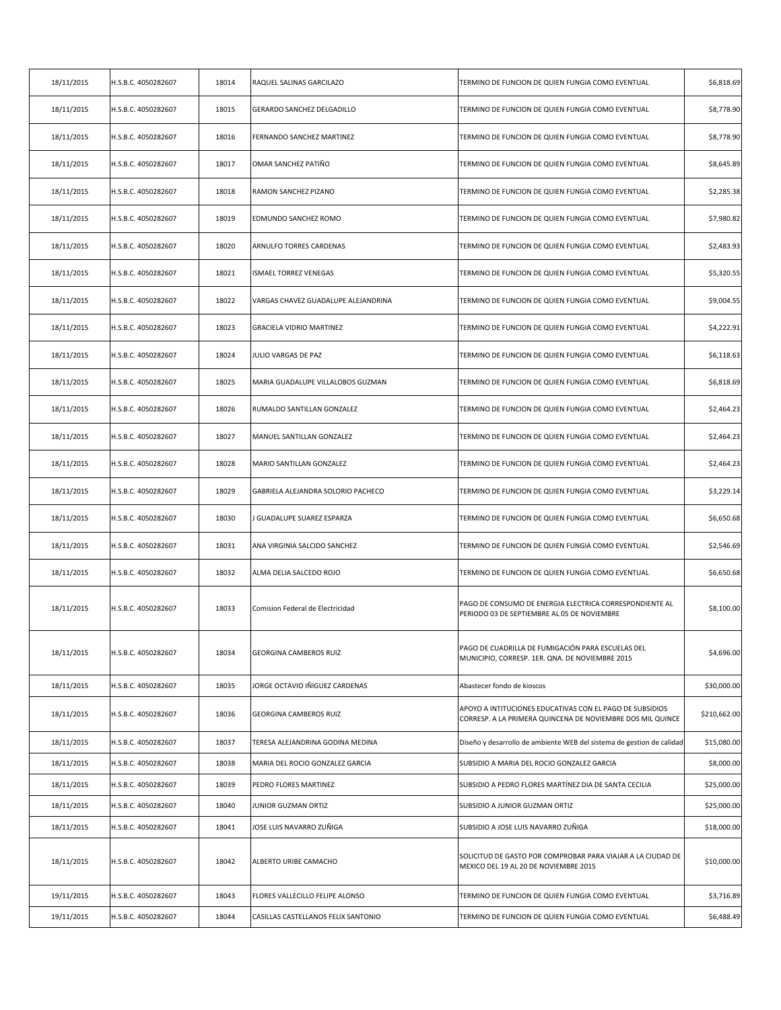| 18/11/2015 | H.S.B.C. 4050282607 | 18014 | RAQUEL SALINAS GARCILAZO            | TERMINO DE FUNCION DE QUIEN FUNGIA COMO EVENTUAL                                                                       | \$6,818.69   |
|------------|---------------------|-------|-------------------------------------|------------------------------------------------------------------------------------------------------------------------|--------------|
| 18/11/2015 | H.S.B.C. 4050282607 | 18015 | GERARDO SANCHEZ DELGADILLO          | TERMINO DE FUNCION DE QUIEN FUNGIA COMO EVENTUAL                                                                       | \$8,778.90   |
| 18/11/2015 | H.S.B.C. 4050282607 | 18016 | FERNANDO SANCHEZ MARTINEZ           | TERMINO DE FUNCION DE QUIEN FUNGIA COMO EVENTUAL                                                                       | \$8,778.90   |
| 18/11/2015 | H.S.B.C. 4050282607 | 18017 | OMAR SANCHEZ PATIÑO                 | TERMINO DE FUNCION DE QUIEN FUNGIA COMO EVENTUAL                                                                       | \$8,645.89   |
| 18/11/2015 | H.S.B.C. 4050282607 | 18018 | RAMON SANCHEZ PIZANO                | TERMINO DE FUNCION DE QUIEN FUNGIA COMO EVENTUAL                                                                       | \$2,285.38   |
| 18/11/2015 | H.S.B.C. 4050282607 | 18019 | EDMUNDO SANCHEZ ROMO                | TERMINO DE FUNCION DE QUIEN FUNGIA COMO EVENTUAL                                                                       | \$7,980.82   |
| 18/11/2015 | H.S.B.C. 4050282607 | 18020 | ARNULFO TORRES CARDENAS             | TERMINO DE FUNCION DE QUIEN FUNGIA COMO EVENTUAL                                                                       | \$2,483.93   |
| 18/11/2015 | H.S.B.C. 4050282607 | 18021 | <b>ISMAEL TORREZ VENEGAS</b>        | TERMINO DE FUNCION DE QUIEN FUNGIA COMO EVENTUAL                                                                       | \$5,320.55   |
| 18/11/2015 | H.S.B.C. 4050282607 | 18022 | VARGAS CHAVEZ GUADALUPE ALEJANDRINA | TERMINO DE FUNCION DE QUIEN FUNGIA COMO EVENTUAL                                                                       | \$9,004.55   |
| 18/11/2015 | H.S.B.C. 4050282607 | 18023 | <b>GRACIELA VIDRIO MARTINEZ</b>     | TERMINO DE FUNCION DE QUIEN FUNGIA COMO EVENTUAL                                                                       | \$4,222.91   |
| 18/11/2015 | H.S.B.C. 4050282607 | 18024 | JULIO VARGAS DE PAZ                 | TERMINO DE FUNCION DE QUIEN FUNGIA COMO EVENTUAL                                                                       | \$6,118.63   |
| 18/11/2015 | H.S.B.C. 4050282607 | 18025 | MARIA GUADALUPE VILLALOBOS GUZMAN   | TERMINO DE FUNCION DE QUIEN FUNGIA COMO EVENTUAL                                                                       | \$6,818.69   |
| 18/11/2015 | H.S.B.C. 4050282607 | 18026 | RUMALDO SANTILLAN GONZALEZ          | TERMINO DE FUNCION DE QUIEN FUNGIA COMO EVENTUAL                                                                       | \$2,464.23   |
| 18/11/2015 | H.S.B.C. 4050282607 | 18027 | MANUEL SANTILLAN GONZALEZ           | TERMINO DE FUNCION DE QUIEN FUNGIA COMO EVENTUAL                                                                       | \$2,464.23   |
| 18/11/2015 | H.S.B.C. 4050282607 | 18028 | MARIO SANTILLAN GONZALEZ            | TERMINO DE FUNCION DE QUIEN FUNGIA COMO EVENTUAL                                                                       | \$2,464.23   |
| 18/11/2015 | H.S.B.C. 4050282607 | 18029 | GABRIELA ALEJANDRA SOLORIO PACHECO  | TERMINO DE FUNCION DE QUIEN FUNGIA COMO EVENTUAL                                                                       | \$3,229.14   |
| 18/11/2015 | H.S.B.C. 4050282607 | 18030 | J GUADALUPE SUAREZ ESPARZA          | TERMINO DE FUNCION DE QUIEN FUNGIA COMO EVENTUAL                                                                       | \$6,650.68   |
| 18/11/2015 | H.S.B.C. 4050282607 | 18031 | ANA VIRGINIA SALCIDO SANCHEZ        | TERMINO DE FUNCION DE QUIEN FUNGIA COMO EVENTUAL                                                                       | \$2,546.69   |
| 18/11/2015 | H.S.B.C. 4050282607 | 18032 | ALMA DELIA SALCEDO ROJO             | TERMINO DE FUNCION DE QUIEN FUNGIA COMO EVENTUAL                                                                       | \$6,650.68   |
| 18/11/2015 | H.S.B.C. 4050282607 | 18033 | Comision Federal de Electricidad    | PAGO DE CONSUMO DE ENERGIA ELECTRICA CORRESPONDIENTE AL<br>PERIODO 03 DE SEPTIEMBRE AL 05 DE NOVIEMBRE                 | \$8,100.00   |
| 18/11/2015 | H.S.B.C. 4050282607 | 18034 | <b>GEORGINA CAMBEROS RUIZ</b>       | PAGO DE CUADRILLA DE FUMIGACIÓN PARA ESCUELAS DEL<br>MUNICIPIO, CORRESP. 1ER. QNA. DE NOVIEMBRE 2015                   | \$4,696.00   |
| 18/11/2015 | H.S.B.C. 4050282607 | 18035 | JORGE OCTAVIO IÑIGUEZ CARDENAS      | Abastecer fondo de kioscos                                                                                             | \$30,000.00  |
| 18/11/2015 | H.S.B.C. 4050282607 | 18036 | <b>GEORGINA CAMBEROS RUIZ</b>       | APOYO A INTITUCIONES EDUCATIVAS CON EL PAGO DE SUBSIDIOS<br>CORRESP. A LA PRIMERA QUINCENA DE NOVIEMBRE DOS MIL QUINCE | \$210,662.00 |
| 18/11/2015 | H.S.B.C. 4050282607 | 18037 | TERESA ALEJANDRINA GODINA MEDINA    | Diseño y desarrollo de ambiente WEB del sistema de gestion de calidad                                                  | \$15,080.00  |
| 18/11/2015 | H.S.B.C. 4050282607 | 18038 | MARIA DEL ROCIO GONZALEZ GARCIA     | SUBSIDIO A MARIA DEL ROCIO GONZALEZ GARCIA                                                                             | \$8,000.00   |
| 18/11/2015 | H.S.B.C. 4050282607 | 18039 | PEDRO FLORES MARTINEZ               | SUBSIDIO A PEDRO FLORES MARTÍNEZ DIA DE SANTA CECILIA                                                                  | \$25,000.00  |
| 18/11/2015 | H.S.B.C. 4050282607 | 18040 | JUNIOR GUZMAN ORTIZ                 | SUBSIDIO A JUNIOR GUZMAN ORTIZ                                                                                         | \$25,000.00  |
| 18/11/2015 | H.S.B.C. 4050282607 | 18041 | JOSE LUIS NAVARRO ZUÑIGA            | SUBSIDIO A JOSE LUIS NAVARRO ZUÑIGA                                                                                    | \$18,000.00  |
| 18/11/2015 | H.S.B.C. 4050282607 | 18042 | ALBERTO URIBE CAMACHO               | SOLICITUD DE GASTO POR COMPROBAR PARA VIAJAR A LA CIUDAD DE<br>MEXICO DEL 19 AL 20 DE NOVIEMBRE 2015                   | \$10,000.00  |
| 19/11/2015 | H.S.B.C. 4050282607 | 18043 | FLORES VALLECILLO FELIPE ALONSO     | TERMINO DE FUNCION DE QUIEN FUNGIA COMO EVENTUAL                                                                       | \$3,716.89   |
| 19/11/2015 | H.S.B.C. 4050282607 | 18044 | CASILLAS CASTELLANOS FELIX SANTONIO | TERMINO DE FUNCION DE QUIEN FUNGIA COMO EVENTUAL                                                                       | \$6,488.49   |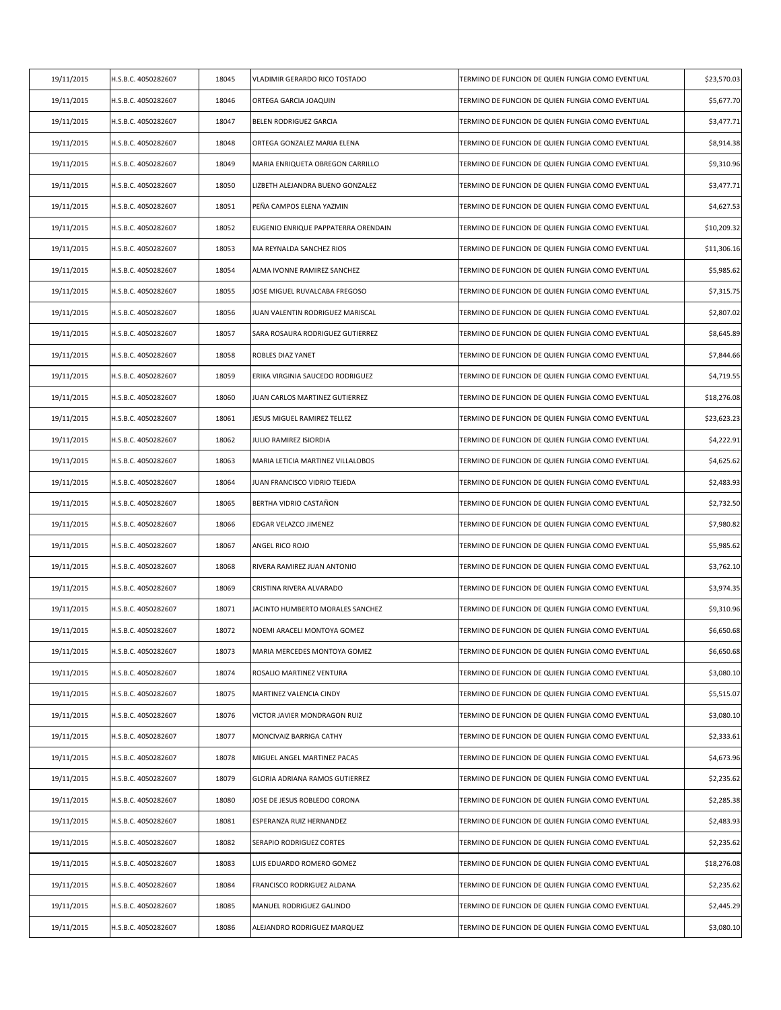| 19/11/2015 | H.S.B.C. 4050282607 | 18045 | VLADIMIR GERARDO RICO TOSTADO       | TERMINO DE FUNCION DE QUIEN FUNGIA COMO EVENTUAL | \$23,570.03 |
|------------|---------------------|-------|-------------------------------------|--------------------------------------------------|-------------|
| 19/11/2015 | H.S.B.C. 4050282607 | 18046 | ORTEGA GARCIA JOAQUIN               | TERMINO DE FUNCION DE QUIEN FUNGIA COMO EVENTUAL | \$5,677.70  |
| 19/11/2015 | H.S.B.C. 4050282607 | 18047 | BELEN RODRIGUEZ GARCIA              | TERMINO DE FUNCION DE QUIEN FUNGIA COMO EVENTUAL | \$3,477.71  |
| 19/11/2015 | H.S.B.C. 4050282607 | 18048 | ORTEGA GONZALEZ MARIA ELENA         | TERMINO DE FUNCION DE QUIEN FUNGIA COMO EVENTUAL | \$8,914.38  |
| 19/11/2015 | H.S.B.C. 4050282607 | 18049 | MARIA ENRIQUETA OBREGON CARRILLO    | TERMINO DE FUNCION DE QUIEN FUNGIA COMO EVENTUAL | \$9,310.96  |
| 19/11/2015 | H.S.B.C. 4050282607 | 18050 | LIZBETH ALEJANDRA BUENO GONZALEZ    | TERMINO DE FUNCION DE QUIEN FUNGIA COMO EVENTUAL | \$3,477.71  |
| 19/11/2015 | H.S.B.C. 4050282607 | 18051 | PEÑA CAMPOS ELENA YAZMIN            | TERMINO DE FUNCION DE QUIEN FUNGIA COMO EVENTUAL | \$4,627.53  |
| 19/11/2015 | H.S.B.C. 4050282607 | 18052 | EUGENIO ENRIQUE PAPPATERRA ORENDAIN | TERMINO DE FUNCION DE QUIEN FUNGIA COMO EVENTUAL | \$10,209.32 |
| 19/11/2015 | H.S.B.C. 4050282607 | 18053 | MA REYNALDA SANCHEZ RIOS            | TERMINO DE FUNCION DE QUIEN FUNGIA COMO EVENTUAL | \$11,306.16 |
| 19/11/2015 | H.S.B.C. 4050282607 | 18054 | ALMA IVONNE RAMIREZ SANCHEZ         | TERMINO DE FUNCION DE QUIEN FUNGIA COMO EVENTUAL | \$5,985.62  |
| 19/11/2015 | H.S.B.C. 4050282607 | 18055 | JOSE MIGUEL RUVALCABA FREGOSO       | TERMINO DE FUNCION DE QUIEN FUNGIA COMO EVENTUAL | \$7,315.75  |
| 19/11/2015 | H.S.B.C. 4050282607 | 18056 | JUAN VALENTIN RODRIGUEZ MARISCAL    | TERMINO DE FUNCION DE QUIEN FUNGIA COMO EVENTUAL | \$2,807.02  |
| 19/11/2015 | H.S.B.C. 4050282607 | 18057 | SARA ROSAURA RODRIGUEZ GUTIERREZ    | TERMINO DE FUNCION DE QUIEN FUNGIA COMO EVENTUAL | \$8,645.89  |
| 19/11/2015 | H.S.B.C. 4050282607 | 18058 | ROBLES DIAZ YANET                   | TERMINO DE FUNCION DE QUIEN FUNGIA COMO EVENTUAL | \$7,844.66  |
| 19/11/2015 | H.S.B.C. 4050282607 | 18059 | ERIKA VIRGINIA SAUCEDO RODRIGUEZ    | TERMINO DE FUNCION DE QUIEN FUNGIA COMO EVENTUAL | \$4,719.55  |
| 19/11/2015 | H.S.B.C. 4050282607 | 18060 | JUAN CARLOS MARTINEZ GUTIERREZ      | TERMINO DE FUNCION DE QUIEN FUNGIA COMO EVENTUAL | \$18,276.08 |
| 19/11/2015 | H.S.B.C. 4050282607 | 18061 | JESUS MIGUEL RAMIREZ TELLEZ         | TERMINO DE FUNCION DE QUIEN FUNGIA COMO EVENTUAL | \$23,623.23 |
| 19/11/2015 | H.S.B.C. 4050282607 | 18062 | JULIO RAMIREZ ISIORDIA              | TERMINO DE FUNCION DE QUIEN FUNGIA COMO EVENTUAL | \$4,222.91  |
| 19/11/2015 | H.S.B.C. 4050282607 | 18063 | MARIA LETICIA MARTINEZ VILLALOBOS   | TERMINO DE FUNCION DE QUIEN FUNGIA COMO EVENTUAL | \$4,625.62  |
| 19/11/2015 | H.S.B.C. 4050282607 | 18064 | JUAN FRANCISCO VIDRIO TEJEDA        | TERMINO DE FUNCION DE QUIEN FUNGIA COMO EVENTUAL | \$2,483.93  |
| 19/11/2015 | H.S.B.C. 4050282607 | 18065 | BERTHA VIDRIO CASTAÑON              | TERMINO DE FUNCION DE QUIEN FUNGIA COMO EVENTUAL | \$2,732.50  |
| 19/11/2015 | H.S.B.C. 4050282607 | 18066 | EDGAR VELAZCO JIMENEZ               | TERMINO DE FUNCION DE QUIEN FUNGIA COMO EVENTUAL | \$7,980.82  |
| 19/11/2015 | H.S.B.C. 4050282607 | 18067 | ANGEL RICO ROJO                     | TERMINO DE FUNCION DE QUIEN FUNGIA COMO EVENTUAL | \$5,985.62  |
| 19/11/2015 | H.S.B.C. 4050282607 | 18068 | RIVERA RAMIREZ JUAN ANTONIO         | TERMINO DE FUNCION DE QUIEN FUNGIA COMO EVENTUAL | \$3,762.10  |
| 19/11/2015 | H.S.B.C. 4050282607 | 18069 | CRISTINA RIVERA ALVARADO            | TERMINO DE FUNCION DE QUIEN FUNGIA COMO EVENTUAL | \$3,974.35  |
| 19/11/2015 | H.S.B.C. 4050282607 | 18071 | JACINTO HUMBERTO MORALES SANCHEZ    | TERMINO DE FUNCION DE QUIEN FUNGIA COMO EVENTUAL | \$9,310.96  |
| 19/11/2015 | H.S.B.C. 4050282607 | 18072 | NOEMI ARACELI MONTOYA GOMEZ         | TERMINO DE FUNCION DE QUIEN FUNGIA COMO EVENTUAL | \$6,650.68  |
| 19/11/2015 | H.S.B.C. 4050282607 | 18073 | MARIA MERCEDES MONTOYA GOMEZ        | TERMINO DE FUNCION DE QUIEN FUNGIA COMO EVENTUAL | \$6,650.68  |
| 19/11/2015 | H.S.B.C. 4050282607 | 18074 | ROSALIO MARTINEZ VENTURA            | TERMINO DE FUNCION DE QUIEN FUNGIA COMO EVENTUAL | \$3,080.10  |
| 19/11/2015 | H.S.B.C. 4050282607 | 18075 | MARTINEZ VALENCIA CINDY             | TERMINO DE FUNCION DE QUIEN FUNGIA COMO EVENTUAL | \$5,515.07  |
| 19/11/2015 | H.S.B.C. 4050282607 | 18076 | VICTOR JAVIER MONDRAGON RUIZ        | TERMINO DE FUNCION DE QUIEN FUNGIA COMO EVENTUAL | \$3,080.10  |
| 19/11/2015 | H.S.B.C. 4050282607 | 18077 | MONCIVAIZ BARRIGA CATHY             | TERMINO DE FUNCION DE QUIEN FUNGIA COMO EVENTUAL | \$2,333.61  |
| 19/11/2015 | H.S.B.C. 4050282607 | 18078 | MIGUEL ANGEL MARTINEZ PACAS         | TERMINO DE FUNCION DE QUIEN FUNGIA COMO EVENTUAL | \$4,673.96  |
| 19/11/2015 | H.S.B.C. 4050282607 | 18079 | GLORIA ADRIANA RAMOS GUTIERREZ      | TERMINO DE FUNCION DE QUIEN FUNGIA COMO EVENTUAL | \$2,235.62  |
| 19/11/2015 | H.S.B.C. 4050282607 | 18080 | JOSE DE JESUS ROBLEDO CORONA        | TERMINO DE FUNCION DE QUIEN FUNGIA COMO EVENTUAL | \$2,285.38  |
| 19/11/2015 | H.S.B.C. 4050282607 | 18081 | ESPERANZA RUIZ HERNANDEZ            | TERMINO DE FUNCION DE QUIEN FUNGIA COMO EVENTUAL | \$2,483.93  |
| 19/11/2015 | H.S.B.C. 4050282607 | 18082 | SERAPIO RODRIGUEZ CORTES            | TERMINO DE FUNCION DE QUIEN FUNGIA COMO EVENTUAL | \$2,235.62  |
| 19/11/2015 | H.S.B.C. 4050282607 | 18083 | LUIS EDUARDO ROMERO GOMEZ           | TERMINO DE FUNCION DE QUIEN FUNGIA COMO EVENTUAL | \$18,276.08 |
| 19/11/2015 | H.S.B.C. 4050282607 | 18084 | FRANCISCO RODRIGUEZ ALDANA          | TERMINO DE FUNCION DE QUIEN FUNGIA COMO EVENTUAL | \$2,235.62  |
| 19/11/2015 | H.S.B.C. 4050282607 | 18085 | MANUEL RODRIGUEZ GALINDO            | TERMINO DE FUNCION DE QUIEN FUNGIA COMO EVENTUAL | \$2,445.29  |
| 19/11/2015 | H.S.B.C. 4050282607 | 18086 | ALEJANDRO RODRIGUEZ MARQUEZ         | TERMINO DE FUNCION DE QUIEN FUNGIA COMO EVENTUAL | \$3,080.10  |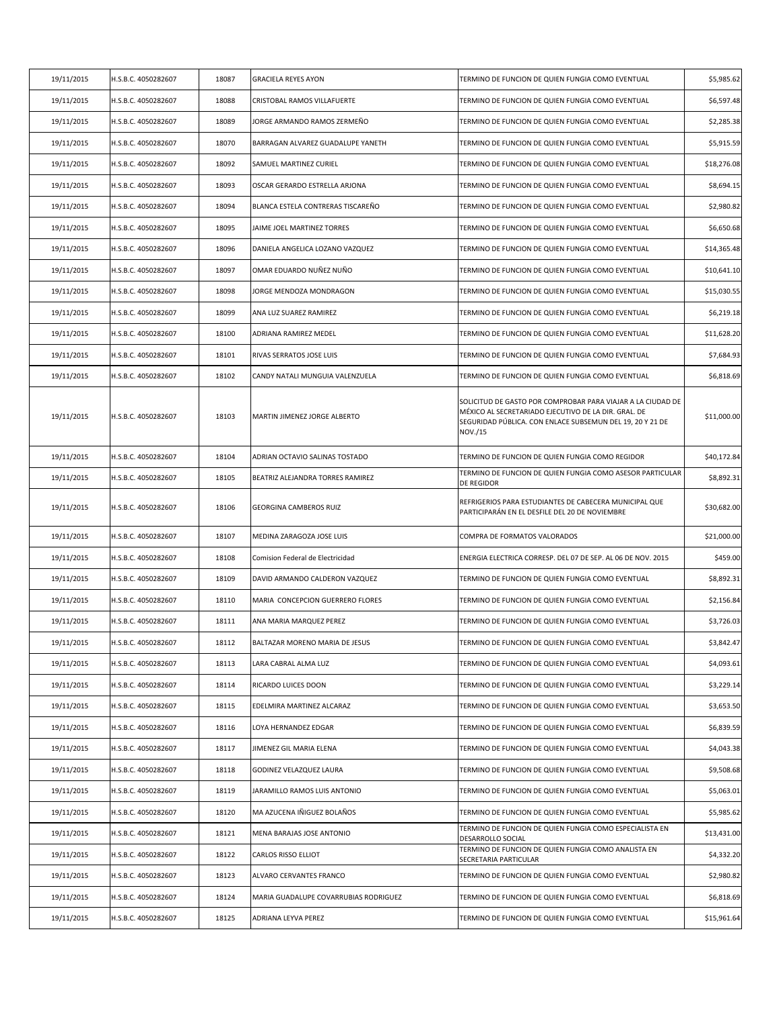| 19/11/2015 | H.S.B.C. 4050282607 | 18087 | <b>GRACIELA REYES AYON</b>            | TERMINO DE FUNCION DE QUIEN FUNGIA COMO EVENTUAL                                                                                                                                            | \$5,985.62  |
|------------|---------------------|-------|---------------------------------------|---------------------------------------------------------------------------------------------------------------------------------------------------------------------------------------------|-------------|
| 19/11/2015 | H.S.B.C. 4050282607 | 18088 | CRISTOBAL RAMOS VILLAFUERTE           | TERMINO DE FUNCION DE QUIEN FUNGIA COMO EVENTUAL                                                                                                                                            | \$6,597.48  |
| 19/11/2015 | H.S.B.C. 4050282607 | 18089 | JORGE ARMANDO RAMOS ZERMEÑO           | TERMINO DE FUNCION DE QUIEN FUNGIA COMO EVENTUAL                                                                                                                                            | \$2,285.38  |
| 19/11/2015 | H.S.B.C. 4050282607 | 18070 | BARRAGAN ALVAREZ GUADALUPE YANETH     | TERMINO DE FUNCION DE QUIEN FUNGIA COMO EVENTUAL                                                                                                                                            | \$5,915.59  |
| 19/11/2015 | H.S.B.C. 4050282607 | 18092 | SAMUEL MARTINEZ CURIEL                | TERMINO DE FUNCION DE QUIEN FUNGIA COMO EVENTUAL                                                                                                                                            | \$18,276.08 |
| 19/11/2015 | H.S.B.C. 4050282607 | 18093 | OSCAR GERARDO ESTRELLA ARJONA         | TERMINO DE FUNCION DE QUIEN FUNGIA COMO EVENTUAL                                                                                                                                            | \$8,694.15  |
| 19/11/2015 | H.S.B.C. 4050282607 | 18094 | BLANCA ESTELA CONTRERAS TISCAREÑO     | TERMINO DE FUNCION DE QUIEN FUNGIA COMO EVENTUAL                                                                                                                                            | \$2,980.82  |
| 19/11/2015 | H.S.B.C. 4050282607 | 18095 | JAIME JOEL MARTINEZ TORRES            | TERMINO DE FUNCION DE QUIEN FUNGIA COMO EVENTUAL                                                                                                                                            | \$6,650.68  |
| 19/11/2015 | H.S.B.C. 4050282607 | 18096 | DANIELA ANGELICA LOZANO VAZQUEZ       | TERMINO DE FUNCION DE QUIEN FUNGIA COMO EVENTUAL                                                                                                                                            | \$14,365.48 |
| 19/11/2015 | H.S.B.C. 4050282607 | 18097 | OMAR EDUARDO NUÑEZ NUÑO               | TERMINO DE FUNCION DE QUIEN FUNGIA COMO EVENTUAL                                                                                                                                            | \$10,641.10 |
| 19/11/2015 | H.S.B.C. 4050282607 | 18098 | JORGE MENDOZA MONDRAGON               | TERMINO DE FUNCION DE QUIEN FUNGIA COMO EVENTUAL                                                                                                                                            | \$15,030.55 |
| 19/11/2015 | H.S.B.C. 4050282607 | 18099 | ANA LUZ SUAREZ RAMIREZ                | TERMINO DE FUNCION DE QUIEN FUNGIA COMO EVENTUAL                                                                                                                                            | \$6,219.18  |
| 19/11/2015 | H.S.B.C. 4050282607 | 18100 | ADRIANA RAMIREZ MEDEL                 | TERMINO DE FUNCION DE QUIEN FUNGIA COMO EVENTUAL                                                                                                                                            | \$11,628.20 |
| 19/11/2015 | H.S.B.C. 4050282607 | 18101 | RIVAS SERRATOS JOSE LUIS              | TERMINO DE FUNCION DE QUIEN FUNGIA COMO EVENTUAL                                                                                                                                            | \$7,684.93  |
| 19/11/2015 | H.S.B.C. 4050282607 | 18102 | CANDY NATALI MUNGUIA VALENZUELA       | TERMINO DE FUNCION DE QUIEN FUNGIA COMO EVENTUAL                                                                                                                                            | \$6,818.69  |
| 19/11/2015 | H.S.B.C. 4050282607 | 18103 | MARTIN JIMENEZ JORGE ALBERTO          | SOLICITUD DE GASTO POR COMPROBAR PARA VIAJAR A LA CIUDAD DE<br>MÉXICO AL SECRETARIADO EJECUTIVO DE LA DIR. GRAL. DE<br>SEGURIDAD PÚBLICA. CON ENLACE SUBSEMUN DEL 19, 20 Y 21 DE<br>NOV./15 | \$11,000.00 |
| 19/11/2015 | H.S.B.C. 4050282607 | 18104 | ADRIAN OCTAVIO SALINAS TOSTADO        | TERMINO DE FUNCION DE QUIEN FUNGIA COMO REGIDOR                                                                                                                                             | \$40,172.84 |
| 19/11/2015 | H.S.B.C. 4050282607 | 18105 | BEATRIZ ALEJANDRA TORRES RAMIREZ      | TERMINO DE FUNCION DE QUIEN FUNGIA COMO ASESOR PARTICULAR<br><b>DE REGIDOR</b>                                                                                                              | \$8,892.31  |
| 19/11/2015 | H.S.B.C. 4050282607 | 18106 | GEORGINA CAMBEROS RUIZ                | REFRIGERIOS PARA ESTUDIANTES DE CABECERA MUNICIPAL QUE<br>PARTICIPARÁN EN EL DESFILE DEL 20 DE NOVIEMBRE                                                                                    | \$30,682.00 |
| 19/11/2015 | H.S.B.C. 4050282607 | 18107 | MEDINA ZARAGOZA JOSE LUIS             | COMPRA DE FORMATOS VALORADOS                                                                                                                                                                | \$21,000.00 |
| 19/11/2015 | H.S.B.C. 4050282607 | 18108 | Comision Federal de Electricidad      | ENERGIA ELECTRICA CORRESP. DEL 07 DE SEP. AL 06 DE NOV. 2015                                                                                                                                | \$459.00    |
| 19/11/2015 | H.S.B.C. 4050282607 | 18109 | DAVID ARMANDO CALDERON VAZQUEZ        | TERMINO DE FUNCION DE QUIEN FUNGIA COMO EVENTUAL                                                                                                                                            | \$8,892.31  |
| 19/11/2015 | H.S.B.C. 4050282607 | 18110 | MARIA CONCEPCION GUERRERO FLORES      | TERMINO DE FUNCION DE QUIEN FUNGIA COMO EVENTUAL                                                                                                                                            | \$2,156.84  |
| 19/11/2015 | H.S.B.C. 4050282607 | 18111 | ANA MARIA MARQUEZ PEREZ               | TERMINO DE FUNCION DE QUIEN FUNGIA COMO EVENTUAL                                                                                                                                            | \$3,726.03  |
| 19/11/2015 | H.S.B.C. 4050282607 | 18112 | BALTAZAR MORENO MARIA DE JESUS        | TERMINO DE FUNCION DE QUIEN FUNGIA COMO EVENTUAL                                                                                                                                            | \$3,842.47  |
| 19/11/2015 | H.S.B.C. 4050282607 | 18113 | LARA CABRAL ALMA LUZ                  | TERMINO DE FUNCION DE QUIEN FUNGIA COMO EVENTUAL                                                                                                                                            | \$4,093.61  |
| 19/11/2015 | H.S.B.C. 4050282607 | 18114 | RICARDO LUICES DOON                   | TERMINO DE FUNCION DE QUIEN FUNGIA COMO EVENTUAL                                                                                                                                            | \$3,229.14  |
| 19/11/2015 | H.S.B.C. 4050282607 | 18115 | EDELMIRA MARTINEZ ALCARAZ             | TERMINO DE FUNCION DE QUIEN FUNGIA COMO EVENTUAL                                                                                                                                            | \$3,653.50  |
| 19/11/2015 | H.S.B.C. 4050282607 | 18116 | LOYA HERNANDEZ EDGAR                  | TERMINO DE FUNCION DE QUIEN FUNGIA COMO EVENTUAL                                                                                                                                            | \$6,839.59  |
| 19/11/2015 | H.S.B.C. 4050282607 | 18117 | JIMENEZ GIL MARIA ELENA               | TERMINO DE FUNCION DE QUIEN FUNGIA COMO EVENTUAL                                                                                                                                            | \$4,043.38  |
| 19/11/2015 | H.S.B.C. 4050282607 | 18118 | GODINEZ VELAZQUEZ LAURA               | TERMINO DE FUNCION DE QUIEN FUNGIA COMO EVENTUAL                                                                                                                                            | \$9,508.68  |
| 19/11/2015 | H.S.B.C. 4050282607 | 18119 | JARAMILLO RAMOS LUIS ANTONIO          | TERMINO DE FUNCION DE QUIEN FUNGIA COMO EVENTUAL                                                                                                                                            | \$5,063.01  |
| 19/11/2015 | H.S.B.C. 4050282607 | 18120 | MA AZUCENA IÑIGUEZ BOLAÑOS            | TERMINO DE FUNCION DE QUIEN FUNGIA COMO EVENTUAL                                                                                                                                            | \$5,985.62  |
| 19/11/2015 | H.S.B.C. 4050282607 | 18121 | MENA BARAJAS JOSE ANTONIO             | TERMINO DE FUNCION DE QUIEN FUNGIA COMO ESPECIALISTA EN<br>DESARROLLO SOCIAL                                                                                                                | \$13,431.00 |
| 19/11/2015 | H.S.B.C. 4050282607 | 18122 | CARLOS RISSO ELLIOT                   | TERMINO DE FUNCION DE QUIEN FUNGIA COMO ANALISTA EN<br>SECRETARIA PARTICULAR                                                                                                                | \$4,332.20  |
| 19/11/2015 | H.S.B.C. 4050282607 | 18123 | ALVARO CERVANTES FRANCO               | TERMINO DE FUNCION DE QUIEN FUNGIA COMO EVENTUAL                                                                                                                                            | \$2,980.82  |
| 19/11/2015 | H.S.B.C. 4050282607 | 18124 | MARIA GUADALUPE COVARRUBIAS RODRIGUEZ | TERMINO DE FUNCION DE QUIEN FUNGIA COMO EVENTUAL                                                                                                                                            | \$6,818.69  |
| 19/11/2015 | H.S.B.C. 4050282607 | 18125 | ADRIANA LEYVA PEREZ                   | TERMINO DE FUNCION DE QUIEN FUNGIA COMO EVENTUAL                                                                                                                                            | \$15,961.64 |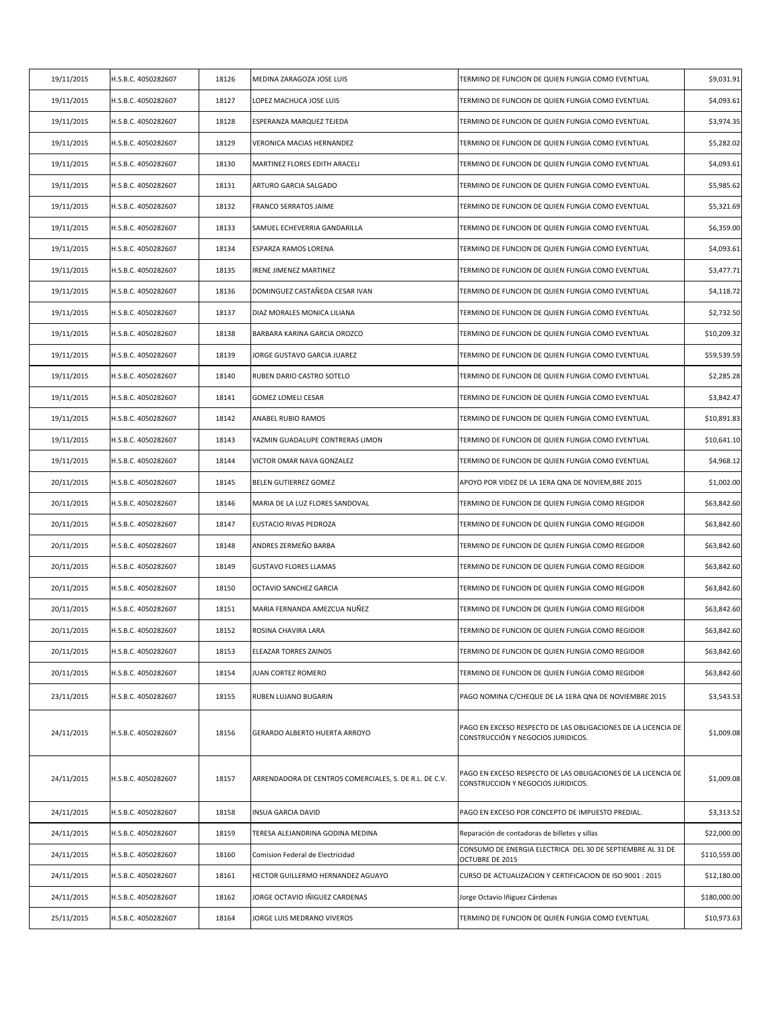| 19/11/2015 | H.S.B.C. 4050282607 | 18126 | MEDINA ZARAGOZA JOSE LUIS                              | TERMINO DE FUNCION DE QUIEN FUNGIA COMO EVENTUAL                                                    | \$9,031.91   |
|------------|---------------------|-------|--------------------------------------------------------|-----------------------------------------------------------------------------------------------------|--------------|
| 19/11/2015 | H.S.B.C. 4050282607 | 18127 | LOPEZ MACHUCA JOSE LUIS                                | TERMINO DE FUNCION DE QUIEN FUNGIA COMO EVENTUAL                                                    | \$4,093.61   |
| 19/11/2015 | H.S.B.C. 4050282607 | 18128 | ESPERANZA MARQUEZ TEJEDA                               | TERMINO DE FUNCION DE QUIEN FUNGIA COMO EVENTUAL                                                    | \$3,974.35   |
| 19/11/2015 | H.S.B.C. 4050282607 | 18129 | VERONICA MACIAS HERNANDEZ                              | TERMINO DE FUNCION DE QUIEN FUNGIA COMO EVENTUAL                                                    | \$5,282.02   |
| 19/11/2015 | H.S.B.C. 4050282607 | 18130 | MARTINEZ FLORES EDITH ARACELI                          | TERMINO DE FUNCION DE QUIEN FUNGIA COMO EVENTUAL                                                    | \$4,093.61   |
| 19/11/2015 | H.S.B.C. 4050282607 | 18131 | ARTURO GARCIA SALGADO                                  | TERMINO DE FUNCION DE QUIEN FUNGIA COMO EVENTUAL                                                    | \$5,985.62   |
| 19/11/2015 | H.S.B.C. 4050282607 | 18132 | FRANCO SERRATOS JAIME                                  | TERMINO DE FUNCION DE QUIEN FUNGIA COMO EVENTUAL                                                    | \$5,321.69   |
| 19/11/2015 | H.S.B.C. 4050282607 | 18133 | SAMUEL ECHEVERRIA GANDARILLA                           | TERMINO DE FUNCION DE QUIEN FUNGIA COMO EVENTUAL                                                    | \$6,359.00   |
| 19/11/2015 | H.S.B.C. 4050282607 | 18134 | <b>ESPARZA RAMOS LORENA</b>                            | TERMINO DE FUNCION DE QUIEN FUNGIA COMO EVENTUAL                                                    | \$4,093.61   |
| 19/11/2015 | H.S.B.C. 4050282607 | 18135 | <b>IRENE JIMENEZ MARTINEZ</b>                          | TERMINO DE FUNCION DE QUIEN FUNGIA COMO EVENTUAL                                                    | \$3,477.71   |
| 19/11/2015 | H.S.B.C. 4050282607 | 18136 | DOMINGUEZ CASTAÑEDA CESAR IVAN                         | TERMINO DE FUNCION DE QUIEN FUNGIA COMO EVENTUAL                                                    | \$4,118.72   |
| 19/11/2015 | H.S.B.C. 4050282607 | 18137 | DIAZ MORALES MONICA LILIANA                            | TERMINO DE FUNCION DE QUIEN FUNGIA COMO EVENTUAL                                                    | \$2,732.50   |
| 19/11/2015 | H.S.B.C. 4050282607 | 18138 | BARBARA KARINA GARCIA OROZCO                           | TERMINO DE FUNCION DE QUIEN FUNGIA COMO EVENTUAL                                                    | \$10,209.32  |
| 19/11/2015 | H.S.B.C. 4050282607 | 18139 | JORGE GUSTAVO GARCIA JUAREZ                            | TERMINO DE FUNCION DE QUIEN FUNGIA COMO EVENTUAL                                                    | \$59,539.59  |
| 19/11/2015 | H.S.B.C. 4050282607 | 18140 | RUBEN DARIO CASTRO SOTELO                              | TERMINO DE FUNCION DE QUIEN FUNGIA COMO EVENTUAL                                                    | \$2,285.28   |
| 19/11/2015 | H.S.B.C. 4050282607 | 18141 | <b>GOMEZ LOMELI CESAR</b>                              | TERMINO DE FUNCION DE QUIEN FUNGIA COMO EVENTUAL                                                    | \$3,842.47   |
| 19/11/2015 | H.S.B.C. 4050282607 | 18142 | ANABEL RUBIO RAMOS                                     | TERMINO DE FUNCION DE QUIEN FUNGIA COMO EVENTUAL                                                    | \$10,891.83  |
| 19/11/2015 | H.S.B.C. 4050282607 | 18143 | YAZMIN GUADALUPE CONTRERAS LIMON                       | TERMINO DE FUNCION DE QUIEN FUNGIA COMO EVENTUAL                                                    | \$10,641.10  |
| 19/11/2015 | H.S.B.C. 4050282607 | 18144 | VICTOR OMAR NAVA GONZALEZ                              | TERMINO DE FUNCION DE QUIEN FUNGIA COMO EVENTUAL                                                    | \$4,968.12   |
| 20/11/2015 | H.S.B.C. 4050282607 | 18145 | BELEN GUTIERREZ GOMEZ                                  | APOYO POR VIDEZ DE LA 1ERA QNA DE NOVIEM, BRE 2015                                                  | \$1,002.00   |
| 20/11/2015 | H.S.B.C. 4050282607 | 18146 | MARIA DE LA LUZ FLORES SANDOVAL                        | TERMINO DE FUNCION DE QUIEN FUNGIA COMO REGIDOR                                                     | \$63,842.60  |
| 20/11/2015 | H.S.B.C. 4050282607 | 18147 | EUSTACIO RIVAS PEDROZA                                 | TERMINO DE FUNCION DE QUIEN FUNGIA COMO REGIDOR                                                     | \$63,842.60  |
| 20/11/2015 | H.S.B.C. 4050282607 | 18148 | ANDRES ZERMEÑO BARBA                                   | TERMINO DE FUNCION DE QUIEN FUNGIA COMO REGIDOR                                                     | \$63,842.60  |
| 20/11/2015 | H.S.B.C. 4050282607 | 18149 | <b>GUSTAVO FLORES LLAMAS</b>                           | TERMINO DE FUNCION DE QUIEN FUNGIA COMO REGIDOR                                                     | \$63,842.60  |
| 20/11/2015 | H.S.B.C. 4050282607 | 18150 | OCTAVIO SANCHEZ GARCIA                                 | TERMINO DE FUNCION DE QUIEN FUNGIA COMO REGIDOR                                                     | \$63,842.60  |
| 20/11/2015 | H.S.B.C. 4050282607 | 18151 | MARIA FERNANDA AMEZCUA NUÑEZ                           | TERMINO DE FUNCION DE QUIEN FUNGIA COMO REGIDOR                                                     | \$63,842.60  |
| 20/11/2015 | H.S.B.C. 4050282607 | 18152 | ROSINA CHAVIRA LARA                                    | TERMINO DE FUNCION DE QUIEN FUNGIA COMO REGIDOR                                                     | \$63,842.60  |
| 20/11/2015 | H.S.B.C. 4050282607 | 18153 | ELEAZAR TORRES ZAINOS                                  | TERMINO DE FUNCION DE QUIEN FUNGIA COMO REGIDOR                                                     | \$63,842.60  |
| 20/11/2015 | H.S.B.C. 4050282607 | 18154 | JUAN CORTEZ ROMERO                                     | TERMINO DE FUNCION DE QUIEN FUNGIA COMO REGIDOR                                                     | \$63,842.60  |
| 23/11/2015 | H.S.B.C. 4050282607 | 18155 | RUBEN LUJANO BUGARIN                                   | PAGO NOMINA C/CHEQUE DE LA 1ERA QNA DE NOVIEMBRE 2015                                               | \$3,543.53   |
| 24/11/2015 | H.S.B.C. 4050282607 | 18156 | GERARDO ALBERTO HUERTA ARROYO                          | PAGO EN EXCESO RESPECTO DE LAS OBLIGACIONES DE LA LICENCIA DE<br>CONSTRUCCIÓN Y NEGOCIOS JURIDICOS. | \$1,009.08   |
| 24/11/2015 | H.S.B.C. 4050282607 | 18157 | ARRENDADORA DE CENTROS COMERCIALES, S. DE R.L. DE C.V. | PAGO EN EXCESO RESPECTO DE LAS OBLIGACIONES DE LA LICENCIA DE<br>CONSTRUCCION Y NEGOCIOS JURIDICOS. | \$1,009.08   |
| 24/11/2015 | H.S.B.C. 4050282607 | 18158 | INSUA GARCIA DAVID                                     | PAGO EN EXCESO POR CONCEPTO DE IMPUESTO PREDIAL.                                                    | \$3,313.52   |
| 24/11/2015 | H.S.B.C. 4050282607 | 18159 | TERESA ALEJANDRINA GODINA MEDINA                       | Reparación de contadoras de billetes y sillas                                                       | \$22,000.00  |
| 24/11/2015 | H.S.B.C. 4050282607 | 18160 | Comision Federal de Electricidad                       | CONSUMO DE ENERGIA ELECTRICA DEL 30 DE SEPTIEMBRE AL 31 DE<br>OCTUBRE DE 2015                       | \$110,559.00 |
| 24/11/2015 | H.S.B.C. 4050282607 | 18161 | HECTOR GUILLERMO HERNANDEZ AGUAYO                      | CURSO DE ACTUALIZACION Y CERTIFICACION DE ISO 9001 : 2015                                           | \$12,180.00  |
| 24/11/2015 | H.S.B.C. 4050282607 | 18162 | JORGE OCTAVIO IÑIGUEZ CARDENAS                         | Jorge Octavio Iñiguez Cárdenas                                                                      | \$180,000.00 |
| 25/11/2015 | H.S.B.C. 4050282607 | 18164 | JORGE LUIS MEDRANO VIVEROS                             | TERMINO DE FUNCION DE QUIEN FUNGIA COMO EVENTUAL                                                    | \$10,973.63  |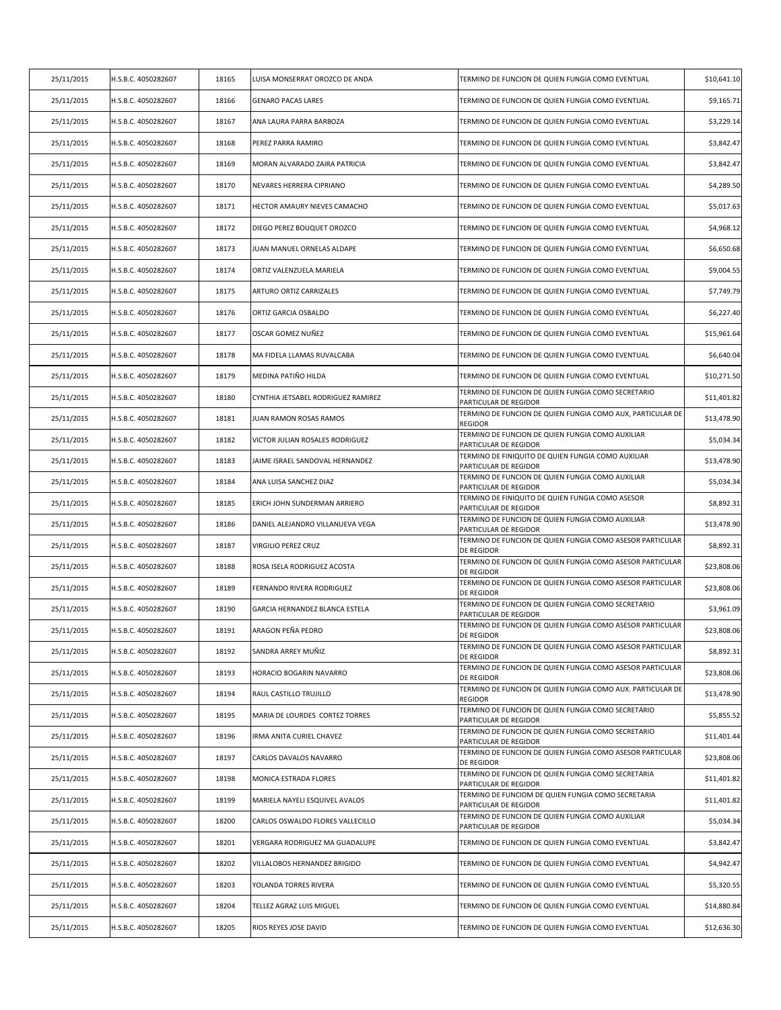| 25/11/2015 | H.S.B.C. 4050282607 | 18165 | LUISA MONSERRAT OROZCO DE ANDA     | TERMINO DE FUNCION DE QUIEN FUNGIA COMO EVENTUAL                               | \$10,641.10 |
|------------|---------------------|-------|------------------------------------|--------------------------------------------------------------------------------|-------------|
| 25/11/2015 | H.S.B.C. 4050282607 | 18166 | <b>GENARO PACAS LARES</b>          | TERMINO DE FUNCION DE QUIEN FUNGIA COMO EVENTUAL                               | \$9,165.71  |
| 25/11/2015 | H.S.B.C. 4050282607 | 18167 | ANA LAURA PARRA BARBOZA            | TERMINO DE FUNCION DE QUIEN FUNGIA COMO EVENTUAL                               | \$3,229.14  |
| 25/11/2015 | H.S.B.C. 4050282607 | 18168 | PEREZ PARRA RAMIRO                 | TERMINO DE FUNCION DE QUIEN FUNGIA COMO EVENTUAL                               | \$3,842.47  |
| 25/11/2015 | H.S.B.C. 4050282607 | 18169 | MORAN ALVARADO ZAIRA PATRICIA      | TERMINO DE FUNCION DE QUIEN FUNGIA COMO EVENTUAL                               | \$3,842.47  |
| 25/11/2015 | H.S.B.C. 4050282607 | 18170 | NEVARES HERRERA CIPRIANO           | TERMINO DE FUNCION DE QUIEN FUNGIA COMO EVENTUAL                               | \$4,289.50  |
| 25/11/2015 | H.S.B.C. 4050282607 | 18171 | HECTOR AMAURY NIEVES CAMACHO       | TERMINO DE FUNCION DE QUIEN FUNGIA COMO EVENTUAL                               | \$5,017.63  |
| 25/11/2015 | H.S.B.C. 4050282607 | 18172 | DIEGO PEREZ BOUQUET OROZCO         | TERMINO DE FUNCION DE QUIEN FUNGIA COMO EVENTUAL                               | \$4,968.12  |
| 25/11/2015 | H.S.B.C. 4050282607 | 18173 | JUAN MANUEL ORNELAS ALDAPE         | TERMINO DE FUNCION DE QUIEN FUNGIA COMO EVENTUAL                               | \$6,650.68  |
| 25/11/2015 | H.S.B.C. 4050282607 | 18174 | ORTIZ VALENZUELA MARIELA           | TERMINO DE FUNCION DE QUIEN FUNGIA COMO EVENTUAL                               | \$9,004.55  |
| 25/11/2015 | H.S.B.C. 4050282607 | 18175 | ARTURO ORTIZ CARRIZALES            | TERMINO DE FUNCION DE QUIEN FUNGIA COMO EVENTUAL                               | \$7,749.79  |
| 25/11/2015 | H.S.B.C. 4050282607 | 18176 | ORTIZ GARCIA OSBALDO               | TERMINO DE FUNCION DE QUIEN FUNGIA COMO EVENTUAL                               | \$6,227.40  |
| 25/11/2015 | H.S.B.C. 4050282607 | 18177 | OSCAR GOMEZ NUÑEZ                  | TERMINO DE FUNCION DE QUIEN FUNGIA COMO EVENTUAL                               | \$15,961.64 |
| 25/11/2015 | H.S.B.C. 4050282607 | 18178 | MA FIDELA LLAMAS RUVALCABA         | TERMINO DE FUNCION DE QUIEN FUNGIA COMO EVENTUAL                               | \$6,640.04  |
| 25/11/2015 | H.S.B.C. 4050282607 | 18179 | MEDINA PATIÑO HILDA                | TERMINO DE FUNCION DE QUIEN FUNGIA COMO EVENTUAL                               | \$10,271.50 |
| 25/11/2015 | H.S.B.C. 4050282607 | 18180 | CYNTHIA JETSABEL RODRIGUEZ RAMIREZ | TERMINO DE FUNCION DE QUIEN FUNGIA COMO SECRETARIO<br>PARTICULAR DE REGIDOR    | \$11,401.82 |
| 25/11/2015 | H.S.B.C. 4050282607 | 18181 | JUAN RAMON ROSAS RAMOS             | TERMINO DE FUNCION DE QUIEN FUNGIA COMO AUX, PARTICULAR DE<br><b>REGIDOR</b>   | \$13,478.90 |
| 25/11/2015 | H.S.B.C. 4050282607 | 18182 | VICTOR JULIAN ROSALES RODRIGUEZ    | TERMINO DE FUNCION DE QUIEN FUNGIA COMO AUXILIAR<br>PARTICULAR DE REGIDOR      | \$5,034.34  |
| 25/11/2015 | H.S.B.C. 4050282607 | 18183 | JAIME ISRAEL SANDOVAL HERNANDEZ    | TERMINO DE FINIQUITO DE QUIEN FUNGIA COMO AUXILIAR<br>PARTICULAR DE REGIDOR    | \$13,478.90 |
| 25/11/2015 | H.S.B.C. 4050282607 | 18184 | ANA LUISA SANCHEZ DIAZ             | TERMINO DE FUNCION DE QUIEN FUNGIA COMO AUXILIAR<br>PARTICULAR DE REGIDOR      | \$5,034.34  |
| 25/11/2015 | H.S.B.C. 4050282607 | 18185 | ERICH JOHN SUNDERMAN ARRIERO       | TERMINO DE FINIQUITO DE QUIEN FUNGIA COMO ASESOR<br>PARTICULAR DE REGIDOR      | \$8,892.31  |
| 25/11/2015 | H.S.B.C. 4050282607 | 18186 | DANIEL ALEJANDRO VILLANUEVA VEGA   | TERMINO DE FUNCION DE QUIEN FUNGIA COMO AUXILIAR<br>PARTICULAR DE REGIDOR      | \$13,478.90 |
| 25/11/2015 | H.S.B.C. 4050282607 | 18187 | VIRGILIO PEREZ CRUZ                | TERMINO DE FUNCION DE QUIEN FUNGIA COMO ASESOR PARTICULAR<br><b>DE REGIDOR</b> | \$8,892.31  |
| 25/11/2015 | H.S.B.C. 4050282607 | 18188 | ROSA ISELA RODRIGUEZ ACOSTA        | TERMINO DE FUNCION DE QUIEN FUNGIA COMO ASESOR PARTICULAR<br><b>DE REGIDOR</b> | \$23,808.06 |
| 25/11/2015 | H.S.B.C. 4050282607 | 18189 | FERNANDO RIVERA RODRIGUEZ          | TERMINO DE FUNCION DE QUIEN FUNGIA COMO ASESOR PARTICULAR<br><b>DE REGIDOR</b> | \$23,808.06 |
| 25/11/2015 | H.S.B.C. 4050282607 | 18190 | GARCIA HERNANDEZ BLANCA ESTELA     | TERMINO DE FUNCION DE QUIEN FUNGIA COMO SECRETARIO<br>PARTICULAR DE REGIDOR    | \$3,961.09  |
| 25/11/2015 | H.S.B.C. 4050282607 | 18191 | ARAGON PEÑA PEDRO                  | TERMINO DE FUNCION DE QUIEN FUNGIA COMO ASESOR PARTICULAR<br><b>DE REGIDOR</b> | \$23,808.06 |
| 25/11/2015 | H.S.B.C. 4050282607 | 18192 | SANDRA ARREY MUÑIZ                 | TERMINO DE FUNCION DE QUIEN FUNGIA COMO ASESOR PARTICULAR<br><b>DE REGIDOR</b> | \$8,892.31  |
| 25/11/2015 | H.S.B.C. 4050282607 | 18193 | HORACIO BOGARIN NAVARRO            | TERMINO DE FUNCION DE QUIEN FUNGIA COMO ASESOR PARTICULAR<br><b>DE REGIDOR</b> | \$23,808.06 |
| 25/11/2015 | H.S.B.C. 4050282607 | 18194 | RAUL CASTILLO TRUJILLO             | TERMINO DE FUNCION DE QUIEN FUNGIA COMO AUX. PARTICULAR DE<br><b>REGIDOR</b>   | \$13,478.90 |
| 25/11/2015 | H.S.B.C. 4050282607 | 18195 | MARIA DE LOURDES CORTEZ TORRES     | TERMINO DE FUNCION DE QUIEN FUNGIA COMO SECRETARIO<br>PARTICULAR DE REGIDOR    | \$5,855.52  |
| 25/11/2015 | H.S.B.C. 4050282607 | 18196 | IRMA ANITA CURIEL CHAVEZ           | TERMINO DE FUNCION DE QUIEN FUNGIA COMO SECRETARIO<br>PARTICULAR DE REGIDOR    | \$11,401.44 |
| 25/11/2015 | H.S.B.C. 4050282607 | 18197 | CARLOS DAVALOS NAVARRO             | TERMINO DE FUNCION DE QUIEN FUNGIA COMO ASESOR PARTICULAR<br><b>DE REGIDOR</b> | \$23,808.06 |
| 25/11/2015 | H.S.B.C. 4050282607 | 18198 | MONICA ESTRADA FLORES              | TERMINO DE FUNCION DE QUIEN FUNGIA COMO SECRETARIA<br>PARTICULAR DE REGIDOR    | \$11,401.82 |
| 25/11/2015 | H.S.B.C. 4050282607 | 18199 | MARIELA NAYELI ESQUIVEL AVALOS     | TERMINO DE FUNCIOM DE QUIEN FUNGIA COMO SECRETARIA<br>PARTICULAR DE REGIDOR    | \$11,401.82 |
| 25/11/2015 | H.S.B.C. 4050282607 | 18200 | CARLOS OSWALDO FLORES VALLECILLO   | TERMINO DE FUNCION DE QUIEN FUNGIA COMO AUXILIAR<br>PARTICULAR DE REGIDOR      | \$5,034.34  |
| 25/11/2015 | H.S.B.C. 4050282607 | 18201 | VERGARA RODRIGUEZ MA GUADALUPE     | TERMINO DE FUNCION DE QUIEN FUNGIA COMO EVENTUAL                               | \$3,842.47  |
| 25/11/2015 | H.S.B.C. 4050282607 | 18202 | VILLALOBOS HERNANDEZ BRIGIDO       | TERMINO DE FUNCION DE QUIEN FUNGIA COMO EVENTUAL                               | \$4,942.47  |
| 25/11/2015 | H.S.B.C. 4050282607 | 18203 | YOLANDA TORRES RIVERA              | TERMINO DE FUNCION DE QUIEN FUNGIA COMO EVENTUAL                               | \$5,320.55  |
| 25/11/2015 | H.S.B.C. 4050282607 | 18204 | TELLEZ AGRAZ LUIS MIGUEL           | TERMINO DE FUNCION DE QUIEN FUNGIA COMO EVENTUAL                               | \$14,880.84 |
| 25/11/2015 | H.S.B.C. 4050282607 | 18205 | RIOS REYES JOSE DAVID              | TERMINO DE FUNCION DE QUIEN FUNGIA COMO EVENTUAL                               | \$12,636.30 |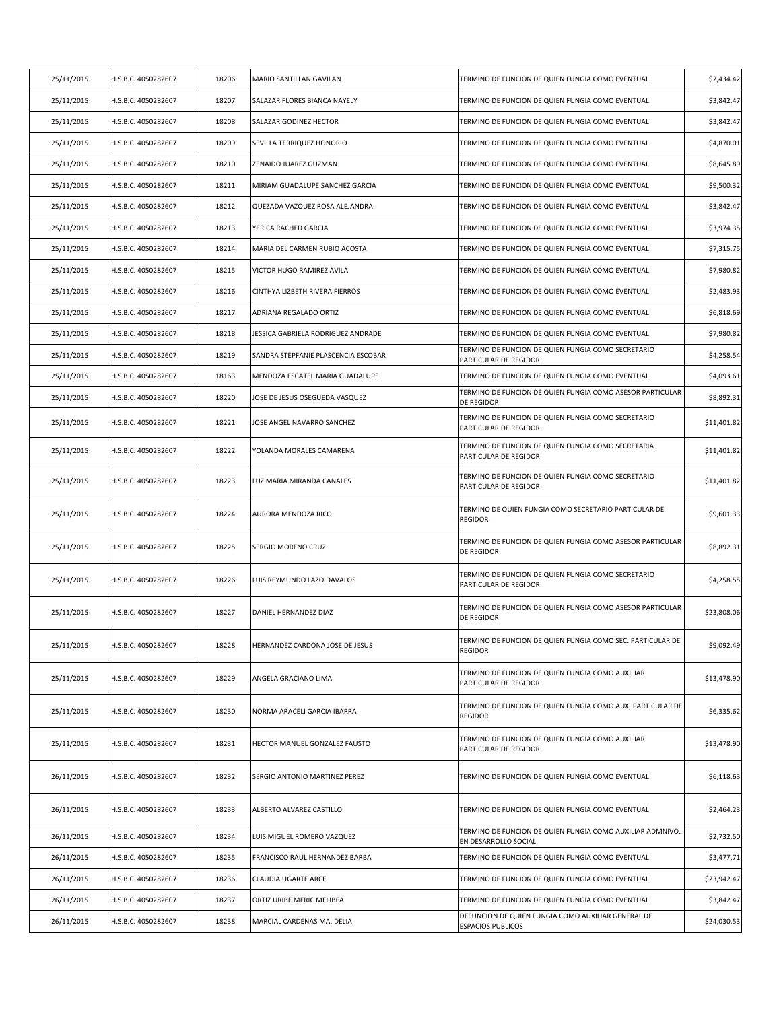| 25/11/2015 | H.S.B.C. 4050282607 | 18206 | MARIO SANTILLAN GAVILAN             | TERMINO DE FUNCION DE QUIEN FUNGIA COMO EVENTUAL                                  | \$2,434.42  |
|------------|---------------------|-------|-------------------------------------|-----------------------------------------------------------------------------------|-------------|
| 25/11/2015 | H.S.B.C. 4050282607 | 18207 | SALAZAR FLORES BIANCA NAYELY        | TERMINO DE FUNCION DE QUIEN FUNGIA COMO EVENTUAL                                  | \$3,842.47  |
| 25/11/2015 | H.S.B.C. 4050282607 | 18208 | SALAZAR GODINEZ HECTOR              | TERMINO DE FUNCION DE QUIEN FUNGIA COMO EVENTUAL                                  | \$3,842.47  |
| 25/11/2015 | H.S.B.C. 4050282607 | 18209 | SEVILLA TERRIQUEZ HONORIO           | TERMINO DE FUNCION DE QUIEN FUNGIA COMO EVENTUAL                                  | \$4,870.01  |
| 25/11/2015 | H.S.B.C. 4050282607 | 18210 | ZENAIDO JUAREZ GUZMAN               | TERMINO DE FUNCION DE QUIEN FUNGIA COMO EVENTUAL                                  | \$8,645.89  |
| 25/11/2015 | H.S.B.C. 4050282607 | 18211 | MIRIAM GUADALUPE SANCHEZ GARCIA     | TERMINO DE FUNCION DE QUIEN FUNGIA COMO EVENTUAL                                  | \$9,500.32  |
| 25/11/2015 | H.S.B.C. 4050282607 | 18212 | QUEZADA VAZQUEZ ROSA ALEJANDRA      | TERMINO DE FUNCION DE QUIEN FUNGIA COMO EVENTUAL                                  | \$3,842.47  |
| 25/11/2015 | H.S.B.C. 4050282607 | 18213 | YERICA RACHED GARCIA                | TERMINO DE FUNCION DE QUIEN FUNGIA COMO EVENTUAL                                  | \$3,974.35  |
| 25/11/2015 | H.S.B.C. 4050282607 | 18214 | MARIA DEL CARMEN RUBIO ACOSTA       | TERMINO DE FUNCION DE QUIEN FUNGIA COMO EVENTUAL                                  | \$7,315.75  |
| 25/11/2015 | H.S.B.C. 4050282607 | 18215 | VICTOR HUGO RAMIREZ AVILA           | TERMINO DE FUNCION DE QUIEN FUNGIA COMO EVENTUAL                                  | \$7,980.82  |
| 25/11/2015 | H.S.B.C. 4050282607 | 18216 | CINTHYA LIZBETH RIVERA FIERROS      | TERMINO DE FUNCION DE QUIEN FUNGIA COMO EVENTUAL                                  | \$2,483.93  |
| 25/11/2015 | H.S.B.C. 4050282607 | 18217 | ADRIANA REGALADO ORTIZ              | TERMINO DE FUNCION DE QUIEN FUNGIA COMO EVENTUAL                                  | \$6,818.69  |
| 25/11/2015 | H.S.B.C. 4050282607 | 18218 | JESSICA GABRIELA RODRIGUEZ ANDRADE  | TERMINO DE FUNCION DE QUIEN FUNGIA COMO EVENTUAL                                  | \$7,980.82  |
| 25/11/2015 | H.S.B.C. 4050282607 | 18219 | SANDRA STEPFANIE PLASCENCIA ESCOBAR | TERMINO DE FUNCION DE QUIEN FUNGIA COMO SECRETARIO<br>PARTICULAR DE REGIDOR       | \$4,258.54  |
| 25/11/2015 | H.S.B.C. 4050282607 | 18163 | MENDOZA ESCATEL MARIA GUADALUPE     | TERMINO DE FUNCION DE QUIEN FUNGIA COMO EVENTUAL                                  | \$4,093.61  |
| 25/11/2015 | H.S.B.C. 4050282607 | 18220 | JOSE DE JESUS OSEGUEDA VASQUEZ      | TERMINO DE FUNCION DE QUIEN FUNGIA COMO ASESOR PARTICULAR<br>DE REGIDOR           | \$8,892.31  |
| 25/11/2015 | H.S.B.C. 4050282607 | 18221 | JOSE ANGEL NAVARRO SANCHEZ          | TERMINO DE FUNCION DE QUIEN FUNGIA COMO SECRETARIO<br>PARTICULAR DE REGIDOR       | \$11,401.82 |
| 25/11/2015 | H.S.B.C. 4050282607 | 18222 | YOLANDA MORALES CAMARENA            | TERMINO DE FUNCION DE QUIEN FUNGIA COMO SECRETARIA<br>PARTICULAR DE REGIDOR       | \$11,401.82 |
| 25/11/2015 | H.S.B.C. 4050282607 | 18223 | LUZ MARIA MIRANDA CANALES           | TERMINO DE FUNCION DE QUIEN FUNGIA COMO SECRETARIO<br>PARTICULAR DE REGIDOR       | \$11,401.82 |
| 25/11/2015 | H.S.B.C. 4050282607 | 18224 | AURORA MENDOZA RICO                 | TERMINO DE QUIEN FUNGIA COMO SECRETARIO PARTICULAR DE<br>REGIDOR                  | \$9,601.33  |
| 25/11/2015 | H.S.B.C. 4050282607 | 18225 | SERGIO MORENO CRUZ                  | TERMINO DE FUNCION DE QUIEN FUNGIA COMO ASESOR PARTICULAR<br>DE REGIDOR           | \$8,892.31  |
| 25/11/2015 | H.S.B.C. 4050282607 | 18226 | LUIS REYMUNDO LAZO DAVALOS          | TERMINO DE FUNCION DE QUIEN FUNGIA COMO SECRETARIO<br>PARTICULAR DE REGIDOR       | \$4,258.55  |
| 25/11/2015 | H.S.B.C. 4050282607 | 18227 | DANIEL HERNANDEZ DIAZ               | TERMINO DE FUNCION DE QUIEN FUNGIA COMO ASESOR PARTICULAR<br>DE REGIDOR           | \$23,808.06 |
| 25/11/2015 | H.S.B.C. 4050282607 | 18228 | HERNANDEZ CARDONA JOSE DE JESUS     | TERMINO DE FUNCION DE QUIEN FUNGIA COMO SEC. PARTICULAR DE<br><b>REGIDOR</b>      | \$9,092.49  |
| 25/11/2015 | H.S.B.C. 4050282607 | 18229 | ANGELA GRACIANO LIMA                | TERMINO DE FUNCION DE QUIEN FUNGIA COMO AUXILIAR<br>PARTICULAR DE REGIDOR         | \$13,478.90 |
| 25/11/2015 | H.S.B.C. 4050282607 | 18230 | NORMA ARACELI GARCIA IBARRA         | TERMINO DE FUNCION DE QUIEN FUNGIA COMO AUX, PARTICULAR DE<br><b>REGIDOR</b>      | \$6,335.62  |
| 25/11/2015 | H.S.B.C. 4050282607 | 18231 | HECTOR MANUEL GONZALEZ FAUSTO       | TERMINO DE FUNCION DE QUIEN FUNGIA COMO AUXILIAR<br>PARTICULAR DE REGIDOR         | \$13,478.90 |
| 26/11/2015 | H.S.B.C. 4050282607 | 18232 | SERGIO ANTONIO MARTINEZ PEREZ       | TERMINO DE FUNCION DE QUIEN FUNGIA COMO EVENTUAL                                  | \$6,118.63  |
| 26/11/2015 | H.S.B.C. 4050282607 | 18233 | ALBERTO ALVAREZ CASTILLO            | TERMINO DE FUNCION DE QUIEN FUNGIA COMO EVENTUAL                                  | \$2,464.23  |
| 26/11/2015 | H.S.B.C. 4050282607 | 18234 | LUIS MIGUEL ROMERO VAZQUEZ          | TERMINO DE FUNCION DE QUIEN FUNGIA COMO AUXILIAR ADMNIVO.<br>EN DESARROLLO SOCIAL | \$2,732.50  |
| 26/11/2015 | H.S.B.C. 4050282607 | 18235 | FRANCISCO RAUL HERNANDEZ BARBA      | TERMINO DE FUNCION DE QUIEN FUNGIA COMO EVENTUAL                                  | \$3,477.71  |
| 26/11/2015 | H.S.B.C. 4050282607 | 18236 | CLAUDIA UGARTE ARCE                 | TERMINO DE FUNCION DE QUIEN FUNGIA COMO EVENTUAL                                  | \$23,942.47 |
| 26/11/2015 | H.S.B.C. 4050282607 | 18237 | ORTIZ URIBE MERIC MELIBEA           | TERMINO DE FUNCION DE QUIEN FUNGIA COMO EVENTUAL                                  | \$3,842.47  |
| 26/11/2015 | H.S.B.C. 4050282607 | 18238 | MARCIAL CARDENAS MA. DELIA          | DEFUNCION DE QUIEN FUNGIA COMO AUXILIAR GENERAL DE<br><b>ESPACIOS PUBLICOS</b>    | \$24,030.53 |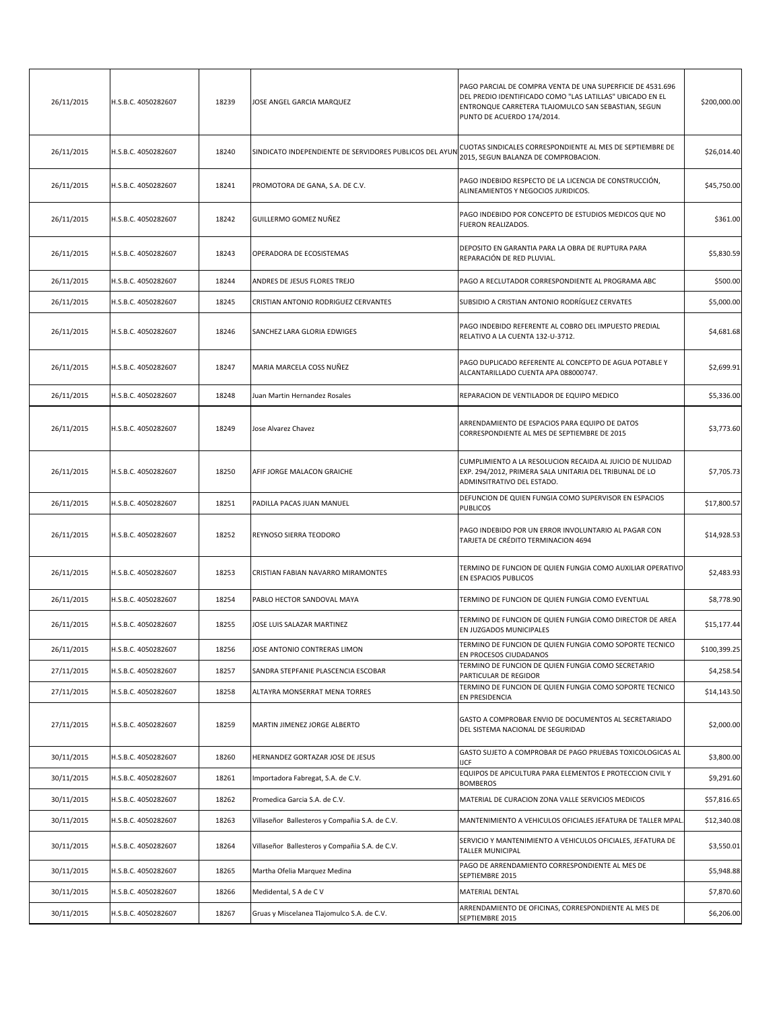| 26/11/2015 | H.S.B.C. 4050282607 | 18239 | JOSE ANGEL GARCIA MARQUEZ                               | PAGO PARCIAL DE COMPRA VENTA DE UNA SUPERFICIE DE 4531.696<br>DEL PREDIO IDENTIFICADO COMO "LAS LATILLAS" UBICADO EN EL<br>ENTRONQUE CARRETERA TLAJOMULCO SAN SEBASTIAN, SEGUN<br>PUNTO DE ACUERDO 174/2014. | \$200,000.00 |
|------------|---------------------|-------|---------------------------------------------------------|--------------------------------------------------------------------------------------------------------------------------------------------------------------------------------------------------------------|--------------|
| 26/11/2015 | H.S.B.C. 4050282607 | 18240 | SINDICATO INDEPENDIENTE DE SERVIDORES PUBLICOS DEL AYUN | CUOTAS SINDICALES CORRESPONDIENTE AL MES DE SEPTIEMBRE DE<br>2015, SEGUN BALANZA DE COMPROBACION.                                                                                                            | \$26,014.40  |
| 26/11/2015 | H.S.B.C. 4050282607 | 18241 | PROMOTORA DE GANA, S.A. DE C.V.                         | PAGO INDEBIDO RESPECTO DE LA LICENCIA DE CONSTRUCCIÓN,<br>ALINEAMIENTOS Y NEGOCIOS JURIDICOS.                                                                                                                | \$45,750.00  |
| 26/11/2015 | H.S.B.C. 4050282607 | 18242 | GUILLERMO GOMEZ NUÑEZ                                   | PAGO INDEBIDO POR CONCEPTO DE ESTUDIOS MEDICOS QUE NO<br>FUERON REALIZADOS.                                                                                                                                  | \$361.00     |
| 26/11/2015 | H.S.B.C. 4050282607 | 18243 | OPERADORA DE ECOSISTEMAS                                | DEPOSITO EN GARANTIA PARA LA OBRA DE RUPTURA PARA<br>REPARACIÓN DE RED PLUVIAL.                                                                                                                              | \$5,830.59   |
| 26/11/2015 | H.S.B.C. 4050282607 | 18244 | ANDRES DE JESUS FLORES TREJO                            | PAGO A RECLUTADOR CORRESPONDIENTE AL PROGRAMA ABC                                                                                                                                                            | \$500.00     |
| 26/11/2015 | H.S.B.C. 4050282607 | 18245 | CRISTIAN ANTONIO RODRIGUEZ CERVANTES                    | SUBSIDIO A CRISTIAN ANTONIO RODRÍGUEZ CERVATES                                                                                                                                                               | \$5,000.00   |
| 26/11/2015 | H.S.B.C. 4050282607 | 18246 | SANCHEZ LARA GLORIA EDWIGES                             | PAGO INDEBIDO REFERENTE AL COBRO DEL IMPUESTO PREDIAL<br>RELATIVO A LA CUENTA 132-U-3712.                                                                                                                    | \$4,681.68   |
| 26/11/2015 | H.S.B.C. 4050282607 | 18247 | MARIA MARCELA COSS NUÑEZ                                | PAGO DUPLICADO REFERENTE AL CONCEPTO DE AGUA POTABLE Y<br>ALCANTARILLADO CUENTA APA 088000747.                                                                                                               | \$2,699.91   |
| 26/11/2015 | H.S.B.C. 4050282607 | 18248 | Juan Martin Hernandez Rosales                           | REPARACION DE VENTILADOR DE EQUIPO MEDICO                                                                                                                                                                    | \$5,336.00   |
| 26/11/2015 | H.S.B.C. 4050282607 | 18249 | Jose Alvarez Chavez                                     | ARRENDAMIENTO DE ESPACIOS PARA EQUIPO DE DATOS<br>CORRESPONDIENTE AL MES DE SEPTIEMBRE DE 2015                                                                                                               | \$3,773.60   |
| 26/11/2015 | H.S.B.C. 4050282607 | 18250 | AFIF JORGE MALACON GRAICHE                              | CUMPLIMIENTO A LA RESOLUCION RECAIDA AL JUICIO DE NULIDAD<br>EXP. 294/2012, PRIMERA SALA UNITARIA DEL TRIBUNAL DE LO<br>ADMINSITRATIVO DEL ESTADO.                                                           | \$7,705.73   |
| 26/11/2015 | H.S.B.C. 4050282607 | 18251 | PADILLA PACAS JUAN MANUEL                               | DEFUNCION DE QUIEN FUNGIA COMO SUPERVISOR EN ESPACIOS<br><b>PUBLICOS</b>                                                                                                                                     | \$17,800.57  |
| 26/11/2015 | H.S.B.C. 4050282607 | 18252 | REYNOSO SIERRA TEODORO                                  | PAGO INDEBIDO POR UN ERROR INVOLUNTARIO AL PAGAR CON<br>TARJETA DE CRÉDITO TERMINACION 4694                                                                                                                  | \$14,928.53  |
| 26/11/2015 | H.S.B.C. 4050282607 | 18253 | CRISTIAN FABIAN NAVARRO MIRAMONTES                      | TERMINO DE FUNCION DE QUIEN FUNGIA COMO AUXILIAR OPERATIVO<br>EN ESPACIOS PUBLICOS                                                                                                                           | \$2,483.93   |
| 26/11/2015 | H.S.B.C. 4050282607 | 18254 | PABLO HECTOR SANDOVAL MAYA                              | TERMINO DE FUNCION DE QUIEN FUNGIA COMO EVENTUAL                                                                                                                                                             | \$8,778.90   |
| 26/11/2015 | H.S.B.C. 4050282607 | 18255 | JOSE LUIS SALAZAR MARTINEZ                              | TERMINO DE FUNCION DE QUIEN FUNGIA COMO DIRECTOR DE AREA<br>EN JUZGADOS MUNICIPALES                                                                                                                          | \$15,177.44  |
| 26/11/2015 | H.S.B.C. 4050282607 | 18256 | JOSE ANTONIO CONTRERAS LIMON                            | TERMINO DE FUNCION DE QUIEN FUNGIA COMO SOPORTE TECNICO<br>EN PROCESOS CIUDADANOS                                                                                                                            | \$100,399.25 |
| 27/11/2015 | H.S.B.C. 4050282607 | 18257 | SANDRA STEPFANIE PLASCENCIA ESCOBAR                     | TERMINO DE FUNCION DE QUIEN FUNGIA COMO SECRETARIO<br>PARTICULAR DE REGIDOR                                                                                                                                  | \$4,258.54   |
| 27/11/2015 | H.S.B.C. 4050282607 | 18258 | ALTAYRA MONSERRAT MENA TORRES                           | TERMINO DE FUNCION DE QUIEN FUNGIA COMO SOPORTE TECNICO<br>EN PRESIDENCIA                                                                                                                                    | \$14,143.50  |
| 27/11/2015 | H.S.B.C. 4050282607 | 18259 | MARTIN JIMENEZ JORGE ALBERTO                            | GASTO A COMPROBAR ENVIO DE DOCUMENTOS AL SECRETARIADO<br>DEL SISTEMA NACIONAL DE SEGURIDAD                                                                                                                   | \$2,000.00   |
| 30/11/2015 | H.S.B.C. 4050282607 | 18260 | HERNANDEZ GORTAZAR JOSE DE JESUS                        | GASTO SUJETO A COMPROBAR DE PAGO PRUEBAS TOXICOLOGICAS AL<br><b>IJCF</b>                                                                                                                                     | \$3,800.00   |
| 30/11/2015 | H.S.B.C. 4050282607 | 18261 | Importadora Fabregat, S.A. de C.V.                      | EQUIPOS DE APICULTURA PARA ELEMENTOS E PROTECCION CIVIL Y<br><b>BOMBEROS</b>                                                                                                                                 | \$9,291.60   |
| 30/11/2015 | H.S.B.C. 4050282607 | 18262 | Promedica Garcia S.A. de C.V.                           | MATERIAL DE CURACION ZONA VALLE SERVICIOS MEDICOS                                                                                                                                                            | \$57,816.65  |
| 30/11/2015 | H.S.B.C. 4050282607 | 18263 | Villaseñor Ballesteros y Compañia S.A. de C.V.          | MANTENIMIENTO A VEHICULOS OFICIALES JEFATURA DE TALLER MPAL                                                                                                                                                  | \$12,340.08  |
| 30/11/2015 | H.S.B.C. 4050282607 | 18264 | Villaseñor Ballesteros y Compañia S.A. de C.V.          | SERVICIO Y MANTENIMIENTO A VEHICULOS OFICIALES, JEFATURA DE<br>TALLER MUNICIPAL                                                                                                                              | \$3,550.01   |
| 30/11/2015 | H.S.B.C. 4050282607 | 18265 | Martha Ofelia Marquez Medina                            | PAGO DE ARRENDAMIENTO CORRESPONDIENTE AL MES DE<br>SEPTIEMBRE 2015                                                                                                                                           | \$5,948.88   |
| 30/11/2015 | H.S.B.C. 4050282607 | 18266 | Medidental, S A de C V                                  | MATERIAL DENTAL                                                                                                                                                                                              | \$7,870.60   |
| 30/11/2015 | H.S.B.C. 4050282607 | 18267 | Gruas y Miscelanea Tlajomulco S.A. de C.V.              | ARRENDAMIENTO DE OFICINAS, CORRESPONDIENTE AL MES DE<br>SEPTIEMBRE 2015                                                                                                                                      | \$6,206.00   |